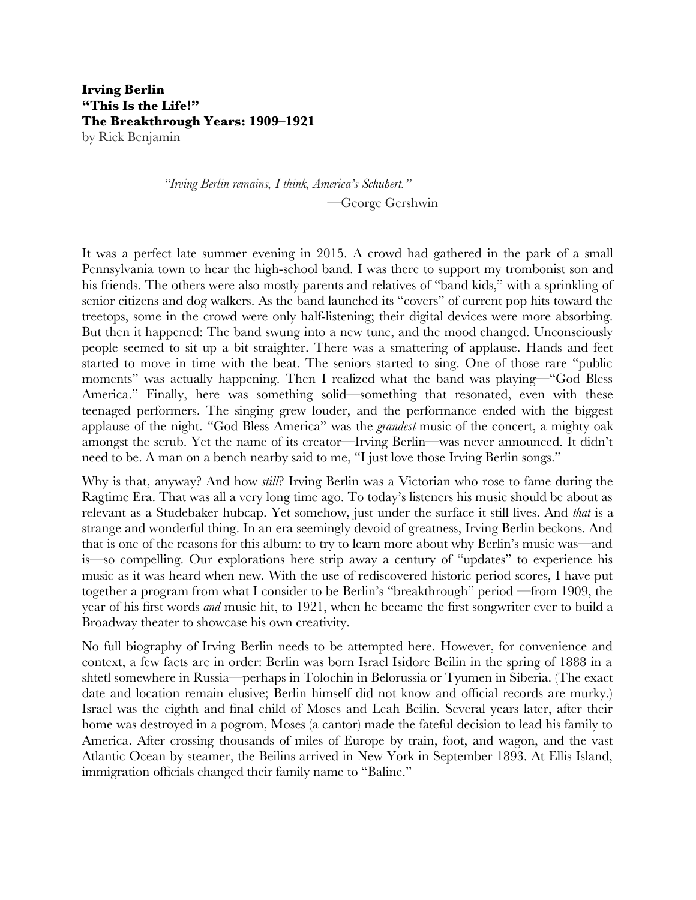# **Irving Berlin "This Is the Life!" The Breakthrough Years: 1909–1921**

by Rick Benjamin

*"Irving Berlin remains, I think, America's Schubert."* —George Gershwin

It was a perfect late summer evening in 2015. A crowd had gathered in the park of a small Pennsylvania town to hear the high-school band. I was there to support my trombonist son and his friends. The others were also mostly parents and relatives of "band kids," with a sprinkling of senior citizens and dog walkers. As the band launched its "covers" of current pop hits toward the treetops, some in the crowd were only half-listening; their digital devices were more absorbing. But then it happened: The band swung into a new tune, and the mood changed. Unconsciously people seemed to sit up a bit straighter. There was a smattering of applause. Hands and feet started to move in time with the beat. The seniors started to sing. One of those rare "public moments" was actually happening. Then I realized what the band was playing—"God Bless America." Finally, here was something solid—something that resonated, even with these teenaged performers. The singing grew louder, and the performance ended with the biggest applause of the night. "God Bless America" was the *grandest* music of the concert, a mighty oak amongst the scrub. Yet the name of its creator—Irving Berlin—was never announced. It didn't need to be. A man on a bench nearby said to me, "I just love those Irving Berlin songs."

Why is that, anyway? And how *still*? Irving Berlin was a Victorian who rose to fame during the Ragtime Era. That was all a very long time ago. To today's listeners his music should be about as relevant as a Studebaker hubcap. Yet somehow, just under the surface it still lives. And *that* is a strange and wonderful thing. In an era seemingly devoid of greatness, Irving Berlin beckons. And that is one of the reasons for this album: to try to learn more about why Berlin's music was—and is—so compelling. Our explorations here strip away a century of "updates" to experience his music as it was heard when new. With the use of rediscovered historic period scores, I have put together a program from what I consider to be Berlin's "breakthrough" period —from 1909, the year of his frst words *and* music hit, to 1921, when he became the frst songwriter ever to build a Broadway theater to showcase his own creativity.

No full biography of Irving Berlin needs to be attempted here. However, for convenience and context, a few facts are in order: Berlin was born Israel Isidore Beilin in the spring of 1888 in a shtetl somewhere in Russia—perhaps in Tolochin in Belorussia or Tyumen in Siberia. (The exact date and location remain elusive; Berlin himself did not know and official records are murky.) Israel was the eighth and fnal child of Moses and Leah Beilin. Several years later, after their home was destroyed in a pogrom, Moses (a cantor) made the fateful decision to lead his family to America. After crossing thousands of miles of Europe by train, foot, and wagon, and the vast Atlantic Ocean by steamer, the Beilins arrived in New York in September 1893. At Ellis Island, immigration officials changed their family name to "Baline."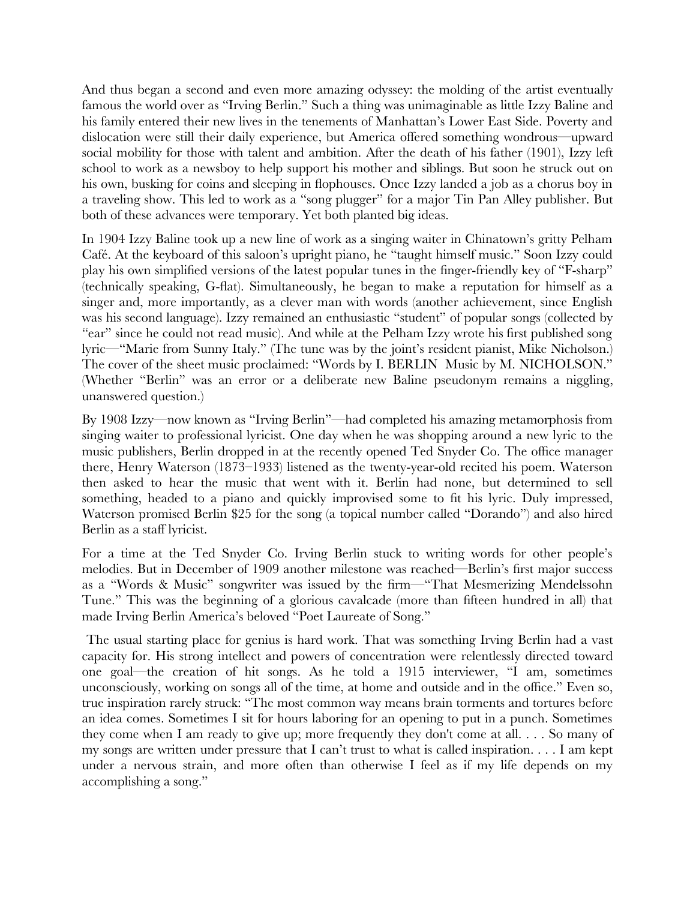And thus began a second and even more amazing odyssey: the molding of the artist eventually famous the world over as "Irving Berlin." Such a thing was unimaginable as little Izzy Baline and his family entered their new lives in the tenements of Manhattan's Lower East Side. Poverty and dislocation were still their daily experience, but America offered something wondrous—upward social mobility for those with talent and ambition. After the death of his father (1901), Izzy left school to work as a newsboy to help support his mother and siblings. But soon he struck out on his own, busking for coins and sleeping in fophouses. Once Izzy landed a job as a chorus boy in a traveling show. This led to work as a "song plugger" for a major Tin Pan Alley publisher. But both of these advances were temporary. Yet both planted big ideas.

In 1904 Izzy Baline took up a new line of work as a singing waiter in Chinatown's gritty Pelham Café. At the keyboard of this saloon's upright piano, he "taught himself music." Soon Izzy could play his own simplifed versions of the latest popular tunes in the fnger-friendly key of "F-sharp" (technically speaking, G-fat). Simultaneously, he began to make a reputation for himself as a singer and, more importantly, as a clever man with words (another achievement, since English was his second language). Izzy remained an enthusiastic "student" of popular songs (collected by "ear" since he could not read music). And while at the Pelham Izzy wrote his frst published song lyric—"Marie from Sunny Italy." (The tune was by the joint's resident pianist, Mike Nicholson.) The cover of the sheet music proclaimed: "Words by I. BERLIN Music by M. NICHOLSON." (Whether "Berlin" was an error or a deliberate new Baline pseudonym remains a niggling, unanswered question.)

By 1908 Izzy—now known as "Irving Berlin"—had completed his amazing metamorphosis from singing waiter to professional lyricist. One day when he was shopping around a new lyric to the music publishers, Berlin dropped in at the recently opened Ted Snyder Co. The office manager there, Henry Waterson (1873–1933) listened as the twenty-year-old recited his poem. Waterson then asked to hear the music that went with it. Berlin had none, but determined to sell something, headed to a piano and quickly improvised some to ft his lyric. Duly impressed, Waterson promised Berlin \$25 for the song (a topical number called "Dorando") and also hired Berlin as a staff lyricist.

For a time at the Ted Snyder Co. Irving Berlin stuck to writing words for other people's melodies. But in December of 1909 another milestone was reached—Berlin's frst major success as a "Words & Music" songwriter was issued by the frm—"That Mesmerizing Mendelssohn Tune." This was the beginning of a glorious cavalcade (more than ffteen hundred in all) that made Irving Berlin America's beloved "Poet Laureate of Song."

 The usual starting place for genius is hard work. That was something Irving Berlin had a vast capacity for. His strong intellect and powers of concentration were relentlessly directed toward one goal—the creation of hit songs. As he told a 1915 interviewer, "I am, sometimes unconsciously, working on songs all of the time, at home and outside and in the office." Even so, true inspiration rarely struck: "The most common way means brain torments and tortures before an idea comes. Sometimes I sit for hours laboring for an opening to put in a punch. Sometimes they come when I am ready to give up; more frequently they don't come at all. . . . So many of my songs are written under pressure that I can't trust to what is called inspiration. . . . I am kept under a nervous strain, and more often than otherwise I feel as if my life depends on my accomplishing a song."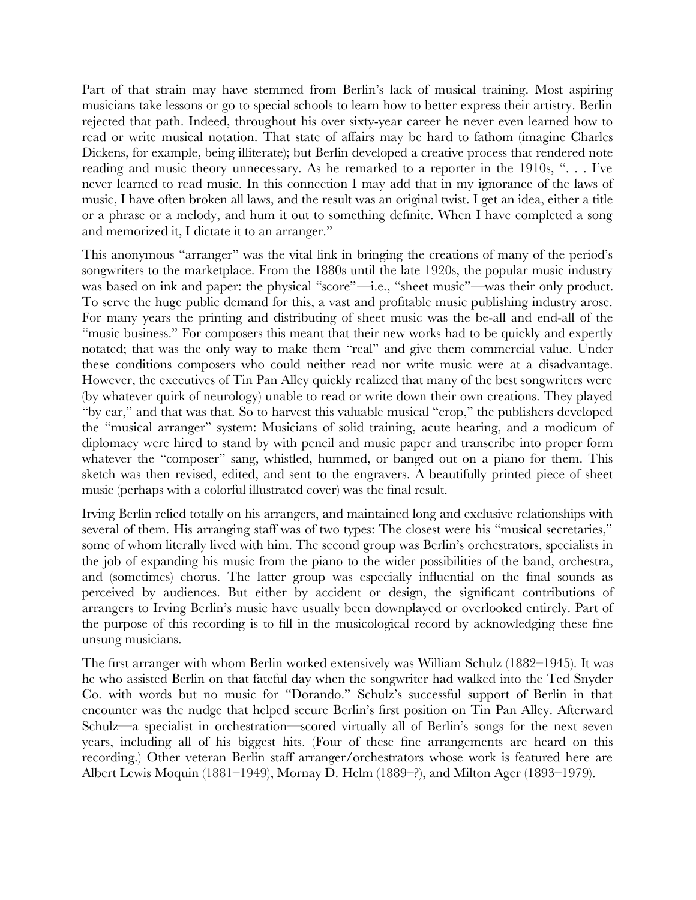Part of that strain may have stemmed from Berlin's lack of musical training. Most aspiring musicians take lessons or go to special schools to learn how to better express their artistry. Berlin rejected that path. Indeed, throughout his over sixty-year career he never even learned how to read or write musical notation. That state of affairs may be hard to fathom (imagine Charles Dickens, for example, being illiterate); but Berlin developed a creative process that rendered note reading and music theory unnecessary. As he remarked to a reporter in the 1910s, ". . . I've never learned to read music. In this connection I may add that in my ignorance of the laws of music, I have often broken all laws, and the result was an original twist. I get an idea, either a title or a phrase or a melody, and hum it out to something defnite. When I have completed a song and memorized it, I dictate it to an arranger."

This anonymous "arranger" was the vital link in bringing the creations of many of the period's songwriters to the marketplace. From the 1880s until the late 1920s, the popular music industry was based on ink and paper: the physical "score"—i.e., "sheet music"—was their only product. To serve the huge public demand for this, a vast and proftable music publishing industry arose. For many years the printing and distributing of sheet music was the be-all and end-all of the "music business." For composers this meant that their new works had to be quickly and expertly notated; that was the only way to make them "real" and give them commercial value. Under these conditions composers who could neither read nor write music were at a disadvantage. However, the executives of Tin Pan Alley quickly realized that many of the best songwriters were (by whatever quirk of neurology) unable to read or write down their own creations. They played "by ear," and that was that. So to harvest this valuable musical "crop," the publishers developed the "musical arranger" system: Musicians of solid training, acute hearing, and a modicum of diplomacy were hired to stand by with pencil and music paper and transcribe into proper form whatever the "composer" sang, whistled, hummed, or banged out on a piano for them. This sketch was then revised, edited, and sent to the engravers. A beautifully printed piece of sheet music (perhaps with a colorful illustrated cover) was the fnal result.

Irving Berlin relied totally on his arrangers, and maintained long and exclusive relationships with several of them. His arranging staff was of two types: The closest were his "musical secretaries," some of whom literally lived with him. The second group was Berlin's orchestrators, specialists in the job of expanding his music from the piano to the wider possibilities of the band, orchestra, and (sometimes) chorus. The latter group was especially infuential on the fnal sounds as perceived by audiences. But either by accident or design, the signifcant contributions of arrangers to Irving Berlin's music have usually been downplayed or overlooked entirely. Part of the purpose of this recording is to fll in the musicological record by acknowledging these fne unsung musicians.

The frst arranger with whom Berlin worked extensively was William Schulz (1882–1945). It was he who assisted Berlin on that fateful day when the songwriter had walked into the Ted Snyder Co. with words but no music for "Dorando." Schulz's successful support of Berlin in that encounter was the nudge that helped secure Berlin's frst position on Tin Pan Alley. Afterward Schulz—a specialist in orchestration—scored virtually all of Berlin's songs for the next seven years, including all of his biggest hits. (Four of these fne arrangements are heard on this recording.) Other veteran Berlin staff arranger/orchestrators whose work is featured here are Albert Lewis Moquin (1881–1949), Mornay D. Helm (1889–?), and Milton Ager (1893–1979).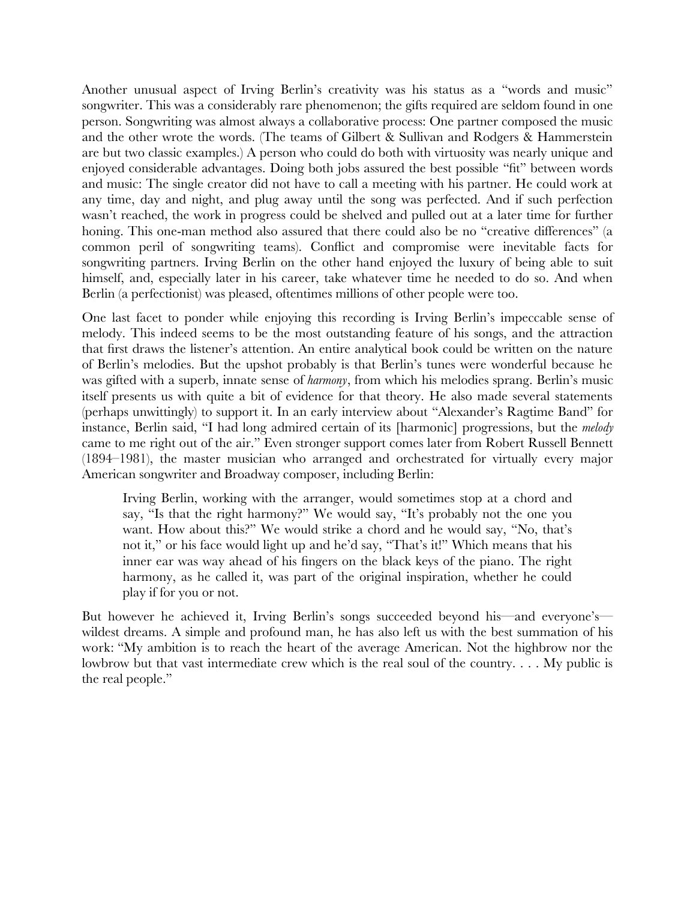Another unusual aspect of Irving Berlin's creativity was his status as a "words and music" songwriter. This was a considerably rare phenomenon; the gifts required are seldom found in one person. Songwriting was almost always a collaborative process: One partner composed the music and the other wrote the words. (The teams of Gilbert & Sullivan and Rodgers & Hammerstein are but two classic examples.) A person who could do both with virtuosity was nearly unique and enjoyed considerable advantages. Doing both jobs assured the best possible "ft" between words and music: The single creator did not have to call a meeting with his partner. He could work at any time, day and night, and plug away until the song was perfected. And if such perfection wasn't reached, the work in progress could be shelved and pulled out at a later time for further honing. This one-man method also assured that there could also be no "creative differences" (a common peril of songwriting teams). Confict and compromise were inevitable facts for songwriting partners. Irving Berlin on the other hand enjoyed the luxury of being able to suit himself, and, especially later in his career, take whatever time he needed to do so. And when Berlin (a perfectionist) was pleased, oftentimes millions of other people were too.

One last facet to ponder while enjoying this recording is Irving Berlin's impeccable sense of melody. This indeed seems to be the most outstanding feature of his songs, and the attraction that frst draws the listener's attention. An entire analytical book could be written on the nature of Berlin's melodies. But the upshot probably is that Berlin's tunes were wonderful because he was gifted with a superb, innate sense of *harmony*, from which his melodies sprang. Berlin's music itself presents us with quite a bit of evidence for that theory. He also made several statements (perhaps unwittingly) to support it. In an early interview about "Alexander's Ragtime Band" for instance, Berlin said, "I had long admired certain of its [harmonic] progressions, but the *melody* came to me right out of the air." Even stronger support comes later from Robert Russell Bennett (1894–1981), the master musician who arranged and orchestrated for virtually every major American songwriter and Broadway composer, including Berlin:

Irving Berlin, working with the arranger, would sometimes stop at a chord and say, "Is that the right harmony?" We would say, "It's probably not the one you want. How about this?" We would strike a chord and he would say, "No, that's not it," or his face would light up and he'd say, "That's it!" Which means that his inner ear was way ahead of his fngers on the black keys of the piano. The right harmony, as he called it, was part of the original inspiration, whether he could play if for you or not.

But however he achieved it, Irving Berlin's songs succeeded beyond his—and everyone's wildest dreams. A simple and profound man, he has also left us with the best summation of his work: "My ambition is to reach the heart of the average American. Not the highbrow nor the lowbrow but that vast intermediate crew which is the real soul of the country. . . . My public is the real people."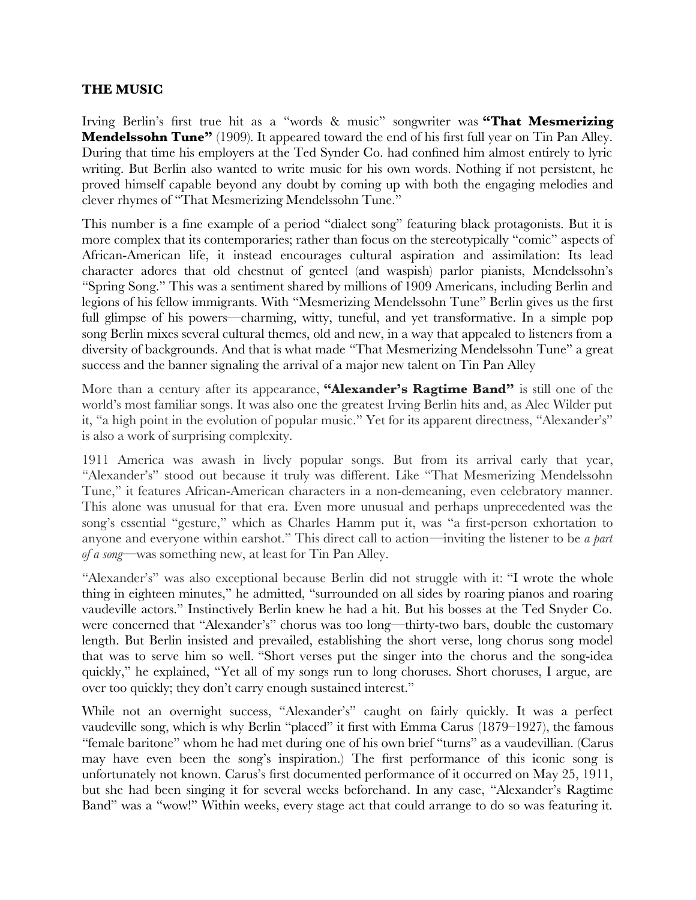# **THE MUSIC**

Irving Berlin's frst true hit as a "words & music" songwriter was **"That Mesmerizing Mendelssohn Tune"** (1909). It appeared toward the end of his first full year on Tin Pan Alley. During that time his employers at the Ted Synder Co. had confned him almost entirely to lyric writing. But Berlin also wanted to write music for his own words. Nothing if not persistent, he proved himself capable beyond any doubt by coming up with both the engaging melodies and clever rhymes of "That Mesmerizing Mendelssohn Tune."

This number is a fne example of a period "dialect song" featuring black protagonists. But it is more complex that its contemporaries; rather than focus on the stereotypically "comic" aspects of African-American life, it instead encourages cultural aspiration and assimilation: Its lead character adores that old chestnut of genteel (and waspish) parlor pianists, Mendelssohn's "Spring Song." This was a sentiment shared by millions of 1909 Americans, including Berlin and legions of his fellow immigrants. With "Mesmerizing Mendelssohn Tune" Berlin gives us the frst full glimpse of his powers—charming, witty, tuneful, and yet transformative. In a simple pop song Berlin mixes several cultural themes, old and new, in a way that appealed to listeners from a diversity of backgrounds. And that is what made "That Mesmerizing Mendelssohn Tune" a great success and the banner signaling the arrival of a major new talent on Tin Pan Alley

More than a century after its appearance, **"Alexander's Ragtime Band"** is still one of the world's most familiar songs. It was also one the greatest Irving Berlin hits and, as Alec Wilder put it, "a high point in the evolution of popular music." Yet for its apparent directness, "Alexander's" is also a work of surprising complexity.

1911 America was awash in lively popular songs. But from its arrival early that year, "Alexander's" stood out because it truly was different. Like "That Mesmerizing Mendelssohn Tune," it features African-American characters in a non-demeaning, even celebratory manner. This alone was unusual for that era. Even more unusual and perhaps unprecedented was the song's essential "gesture," which as Charles Hamm put it, was "a first-person exhortation to anyone and everyone within earshot." This direct call to action—inviting the listener to be *a part of a song*—was something new, at least for Tin Pan Alley.

"Alexander's" was also exceptional because Berlin did not struggle with it: "I wrote the whole thing in eighteen minutes," he admitted, "surrounded on all sides by roaring pianos and roaring vaudeville actors." Instinctively Berlin knew he had a hit. But his bosses at the Ted Snyder Co. were concerned that "Alexander's" chorus was too long—thirty-two bars, double the customary length. But Berlin insisted and prevailed, establishing the short verse, long chorus song model that was to serve him so well. "Short verses put the singer into the chorus and the song-idea quickly," he explained, "Yet all of my songs run to long choruses. Short choruses, I argue, are over too quickly; they don't carry enough sustained interest."

While not an overnight success, "Alexander's" caught on fairly quickly. It was a perfect vaudeville song, which is why Berlin "placed" it frst with Emma Carus (1879–1927), the famous "female baritone" whom he had met during one of his own brief "turns" as a vaudevillian*.* (Carus may have even been the song's inspiration.) The frst performance of this iconic song is unfortunately not known. Carus's frst documented performance of it occurred on May 25, 1911, but she had been singing it for several weeks beforehand. In any case, "Alexander's Ragtime Band" was a "wow!" Within weeks, every stage act that could arrange to do so was featuring it.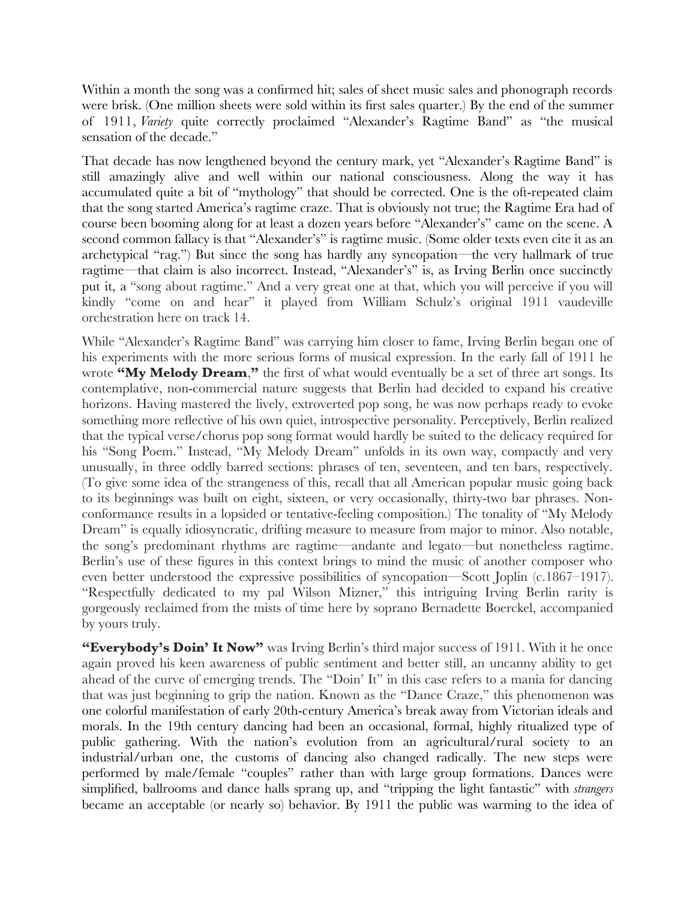Within a month the song was a confirmed hit; sales of sheet music sales and phonograph records were brisk. (One million sheets were sold within its frst sales quarter.) By the end of the summer of 1911, *Variety* quite correctly proclaimed "Alexander's Ragtime Band" as "the musical sensation of the decade."

That decade has now lengthened beyond the century mark, yet "Alexander's Ragtime Band" is still amazingly alive and well within our national consciousness. Along the way it has accumulated quite a bit of "mythology" that should be corrected. One is the oft-repeated claim that the song started America's ragtime craze. That is obviously not true; the Ragtime Era had of course been booming along for at least a dozen years before "Alexander's" came on the scene. A second common fallacy is that "Alexander's" is ragtime music. (Some older texts even cite it as an archetypical "rag.") But since the song has hardly any syncopation—the very hallmark of true ragtime—that claim is also incorrect. Instead, "Alexander's" is, as Irving Berlin once succinctly put it, a "song about ragtime." And a very great one at that, which you will perceive if you will kindly "come on and hear" it played from William Schulz's original 1911 vaudeville orchestration here on track 14.

While "Alexander's Ragtime Band" was carrying him closer to fame, Irving Berlin began one of his experiments with the more serious forms of musical expression. In the early fall of 1911 he wrote **"My Melody Dream**,**"** the frst of what would eventually be a set of three art songs. Its contemplative, non-commercial nature suggests that Berlin had decided to expand his creative horizons. Having mastered the lively, extroverted pop song, he was now perhaps ready to evoke something more refective of his own quiet, introspective personality. Perceptively, Berlin realized that the typical verse/chorus pop song format would hardly be suited to the delicacy required for his "Song Poem." Instead, "My Melody Dream" unfolds in its own way, compactly and very unusually, in three oddly barred sections: phrases of ten, seventeen, and ten bars, respectively. (To give some idea of the strangeness of this, recall that all American popular music going back to its beginnings was built on eight, sixteen, or very occasionally, thirty-two bar phrases. Nonconformance results in a lopsided or tentative-feeling composition.) The tonality of "My Melody Dream" is equally idiosyncratic, drifting measure to measure from major to minor. Also notable, the song's predominant rhythms are ragtime—andante and legato—but nonetheless ragtime. Berlin's use of these fgures in this context brings to mind the music of another composer who even better understood the expressive possibilities of syncopation—Scott Joplin (c.1867–1917). "Respectfully dedicated to my pal Wilson Mizner," this intriguing Irving Berlin rarity is gorgeously reclaimed from the mists of time here by soprano Bernadette Boerckel, accompanied by yours truly.

"Everybody's Doin' It Now" was Irving Berlin's third major success of 1911. With it he once again proved his keen awareness of public sentiment and better still, an uncanny ability to get ahead of the curve of emerging trends. The "Doin' It" in this case refers to a mania for dancing that was just beginning to grip the nation. Known as the "Dance Craze," this phenomenon was one colorful manifestation of early 20th-century America's break away from Victorian ideals and morals. In the 19th century dancing had been an occasional, formal, highly ritualized type of public gathering. With the nation's evolution from an agricultural/rural society to an industrial/urban one, the customs of dancing also changed radically. The new steps were performed by male/female "couples" rather than with large group formations. Dances were simplifed, ballrooms and dance halls sprang up, and "tripping the light fantastic" with *strangers* became an acceptable (or nearly so) behavior. By 1911 the public was warming to the idea of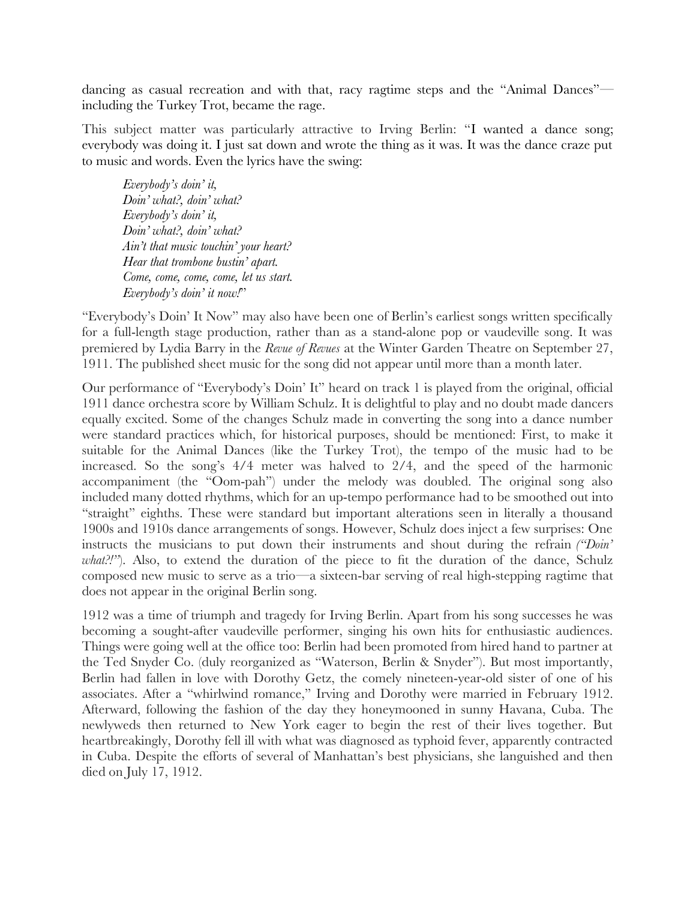dancing as casual recreation and with that, racy ragtime steps and the "Animal Dances" including the Turkey Trot, became the rage.

This subject matter was particularly attractive to Irving Berlin: "I wanted a dance song; everybody was doing it. I just sat down and wrote the thing as it was. It was the dance craze put to music and words. Even the lyrics have the swing:

*Everybody's doin' it, Doin' what?, doin' what? Everybody's doin' it, Doin' what?, doin' what? Ain't that music touchin' your heart? Hear that trombone bustin' apart. Come, come, come, come, let us start. Everybody's doin' it now!*"

"Everybody's Doin' It Now" may also have been one of Berlin's earliest songs written specifcally for a full-length stage production, rather than as a stand-alone pop or vaudeville song. It was premiered by Lydia Barry in the *Revue of Revues* at the Winter Garden Theatre on September 27, 1911. The published sheet music for the song did not appear until more than a month later.

Our performance of "Everybody's Doin' It" heard on track 1 is played from the original, official 1911 dance orchestra score by William Schulz. It is delightful to play and no doubt made dancers equally excited. Some of the changes Schulz made in converting the song into a dance number were standard practices which, for historical purposes, should be mentioned: First, to make it suitable for the Animal Dances (like the Turkey Trot), the tempo of the music had to be increased. So the song's 4/4 meter was halved to 2/4, and the speed of the harmonic accompaniment (the "Oom-pah") under the melody was doubled. The original song also included many dotted rhythms, which for an up-tempo performance had to be smoothed out into "straight" eighths. These were standard but important alterations seen in literally a thousand 1900s and 1910s dance arrangements of songs. However, Schulz does inject a few surprises: One instructs the musicians to put down their instruments and shout during the refrain *("Doin' what?!"*). Also, to extend the duration of the piece to fit the duration of the dance, Schulz composed new music to serve as a trio—a sixteen-bar serving of real high-stepping ragtime that does not appear in the original Berlin song.

1912 was a time of triumph and tragedy for Irving Berlin. Apart from his song successes he was becoming a sought-after vaudeville performer, singing his own hits for enthusiastic audiences. Things were going well at the offce too: Berlin had been promoted from hired hand to partner at the Ted Snyder Co. (duly reorganized as "Waterson, Berlin & Snyder"). But most importantly, Berlin had fallen in love with Dorothy Getz, the comely nineteen-year-old sister of one of his associates. After a "whirlwind romance," Irving and Dorothy were married in February 1912. Afterward, following the fashion of the day they honeymooned in sunny Havana, Cuba. The newlyweds then returned to New York eager to begin the rest of their lives together. But heartbreakingly, Dorothy fell ill with what was diagnosed as typhoid fever, apparently contracted in Cuba. Despite the efforts of several of Manhattan's best physicians, she languished and then died on July 17, 1912.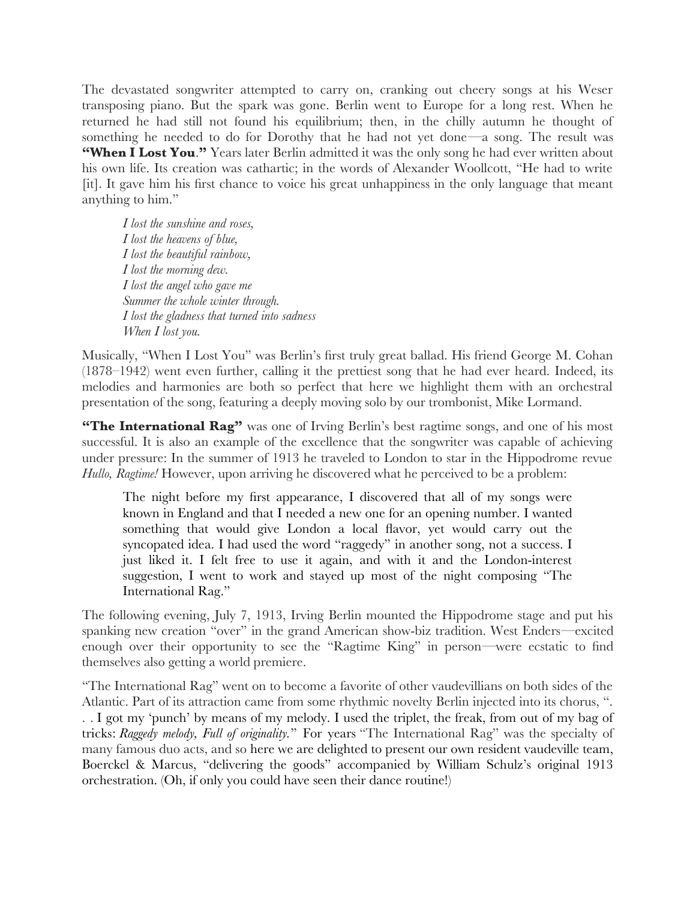The devastated songwriter attempted to carry on, cranking out cheery songs at his Weser transposing piano. But the spark was gone. Berlin went to Europe for a long rest. When he returned he had still not found his equilibrium; then, in the chilly autumn he thought of something he needed to do for Dorothy that he had not yet done—a song. The result was **"When I Lost You**.**"** Years later Berlin admitted it was the only song he had ever written about his own life. Its creation was cathartic; in the words of Alexander Woollcott, "He had to write [it]. It gave him his frst chance to voice his great unhappiness in the only language that meant anything to him."

*I lost the sunshine and roses, I lost the heavens of blue, I lost the beautiful rainbow, I lost the morning dew. I lost the angel who gave me Summer the whole winter through. I lost the gladness that turned into sadness When I lost you.* 

Musically, "When I Lost You" was Berlin's frst truly great ballad. His friend George M. Cohan (1878–1942) went even further, calling it the prettiest song that he had ever heard. Indeed, its melodies and harmonies are both so perfect that here we highlight them with an orchestral presentation of the song, featuring a deeply moving solo by our trombonist, Mike Lormand.

**"The International Rag"** was one of Irving Berlin's best ragtime songs, and one of his most successful. It is also an example of the excellence that the songwriter was capable of achieving under pressure: In the summer of 1913 he traveled to London to star in the Hippodrome revue *Hullo, Ragtime!* However, upon arriving he discovered what he perceived to be a problem:

The night before my frst appearance, I discovered that all of my songs were known in England and that I needed a new one for an opening number. I wanted something that would give London a local favor, yet would carry out the syncopated idea. I had used the word "raggedy" in another song, not a success. I just liked it. I felt free to use it again, and with it and the London-interest suggestion, I went to work and stayed up most of the night composing "The International Rag."

The following evening, July 7, 1913, Irving Berlin mounted the Hippodrome stage and put his spanking new creation "over" in the grand American show-biz tradition. West Enders—excited enough over their opportunity to see the "Ragtime King" in person—were ecstatic to fnd themselves also getting a world premiere.

"The International Rag" went on to become a favorite of other vaudevillians on both sides of the Atlantic. Part of its attraction came from some rhythmic novelty Berlin injected into its chorus, ". . . I got my 'punch' by means of my melody. I used the triplet, the freak, from out of my bag of tricks: *Raggedy melody, Full of originality.*" For years "The International Rag" was the specialty of many famous duo acts, and so here we are delighted to present our own resident vaudeville team, Boerckel & Marcus, "delivering the goods" accompanied by William Schulz's original 1913 orchestration. (Oh, if only you could have seen their dance routine!)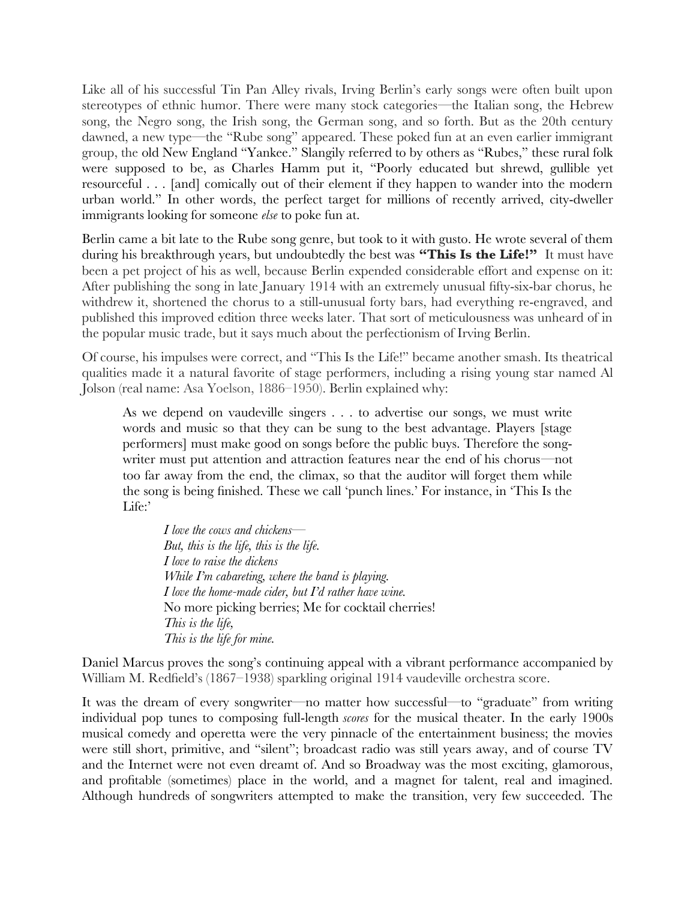Like all of his successful Tin Pan Alley rivals, Irving Berlin's early songs were often built upon stereotypes of ethnic humor. There were many stock categories—the Italian song, the Hebrew song, the Negro song, the Irish song, the German song, and so forth. But as the 20th century dawned, a new type—the "Rube song" appeared. These poked fun at an even earlier immigrant group, the old New England "Yankee." Slangily referred to by others as "Rubes," these rural folk were supposed to be, as Charles Hamm put it, "Poorly educated but shrewd, gullible yet resourceful . . . [and] comically out of their element if they happen to wander into the modern urban world." In other words, the perfect target for millions of recently arrived, city-dweller immigrants looking for someone *else* to poke fun at.

Berlin came a bit late to the Rube song genre, but took to it with gusto. He wrote several of them during his breakthrough years, but undoubtedly the best was **"This Is the Life!"** It must have been a pet project of his as well, because Berlin expended considerable effort and expense on it: After publishing the song in late January 1914 with an extremely unusual ffty-six-bar chorus, he withdrew it, shortened the chorus to a still-unusual forty bars, had everything re-engraved, and published this improved edition three weeks later. That sort of meticulousness was unheard of in the popular music trade, but it says much about the perfectionism of Irving Berlin.

Of course, his impulses were correct, and "This Is the Life!" became another smash. Its theatrical qualities made it a natural favorite of stage performers, including a rising young star named Al Jolson (real name: Asa Yoelson, 1886–1950). Berlin explained why:

As we depend on vaudeville singers . . . to advertise our songs, we must write words and music so that they can be sung to the best advantage. Players [stage performers] must make good on songs before the public buys. Therefore the songwriter must put attention and attraction features near the end of his chorus—not too far away from the end, the climax, so that the auditor will forget them while the song is being fnished. These we call 'punch lines.' For instance, in 'This Is the Life:'

*I love the cows and chickens— But, this is the life, this is the life. I love to raise the dickens While I'm cabareting, where the band is playing. I love the home-made cider, but I'd rather have wine.* No more picking berries; Me for cocktail cherries! *This is the life, This is the life for mine.*

Daniel Marcus proves the song's continuing appeal with a vibrant performance accompanied by William M. Redfeld's (1867–1938) sparkling original 1914 vaudeville orchestra score.

It was the dream of every songwriter—no matter how successful—to "graduate" from writing individual pop tunes to composing full-length *scores* for the musical theater. In the early 1900s musical comedy and operetta were the very pinnacle of the entertainment business; the movies were still short, primitive, and "silent"; broadcast radio was still years away, and of course TV and the Internet were not even dreamt of. And so Broadway was the most exciting, glamorous, and proftable (sometimes) place in the world, and a magnet for talent, real and imagined. Although hundreds of songwriters attempted to make the transition, very few succeeded. The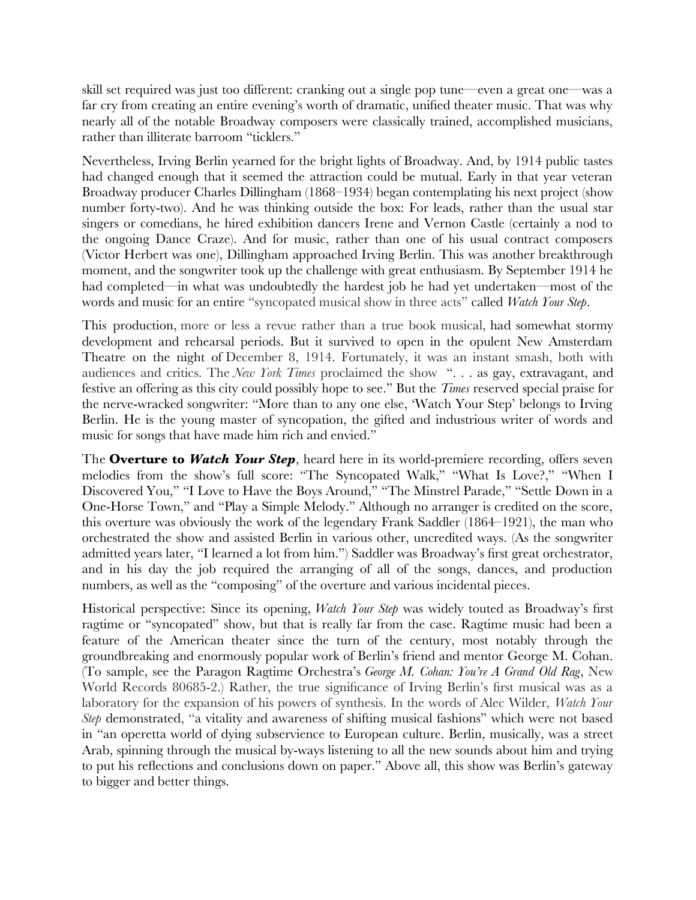skill set required was just too different: cranking out a single pop tune—even a great one—was a far cry from creating an entire evening's worth of dramatic, unifed theater music. That was why nearly all of the notable Broadway composers were classically trained, accomplished musicians, rather than illiterate barroom "ticklers."

Nevertheless, Irving Berlin yearned for the bright lights of Broadway. And, by 1914 public tastes had changed enough that it seemed the attraction could be mutual. Early in that year veteran Broadway producer Charles Dillingham (1868–1934) began contemplating his next project (show number forty-two). And he was thinking outside the box: For leads, rather than the usual star singers or comedians, he hired exhibition dancers Irene and Vernon Castle (certainly a nod to the ongoing Dance Craze). And for music, rather than one of his usual contract composers (Victor Herbert was one), Dillingham approached Irving Berlin. This was another breakthrough moment, and the songwriter took up the challenge with great enthusiasm. By September 1914 he had completed—in what was undoubtedly the hardest job he had yet undertaken—most of the words and music for an entire "syncopated musical show in three acts" called *Watch Your Step*.

This production, more or less a revue rather than a true book musical, had somewhat stormy development and rehearsal periods. But it survived to open in the opulent New Amsterdam Theatre on the night of December 8, 1914. Fortunately, it was an instant smash, both with audiences and critics. The *New York Times* proclaimed the show ". . . as gay, extravagant, and festive an offering as this city could possibly hope to see." But the *Times* reserved special praise for the nerve-wracked songwriter: "More than to any one else, 'Watch Your Step' belongs to Irving Berlin. He is the young master of syncopation, the gifted and industrious writer of words and music for songs that have made him rich and envied."

The **Overture to** *Watch Your Step*, heard here in its world-premiere recording, offers seven melodies from the show's full score: "The Syncopated Walk," "What Is Love?," "When I Discovered You," "I Love to Have the Boys Around," "The Minstrel Parade," "Settle Down in a One-Horse Town," and "Play a Simple Melody." Although no arranger is credited on the score, this overture was obviously the work of the legendary Frank Saddler (1864–1921), the man who orchestrated the show and assisted Berlin in various other, uncredited ways. (As the songwriter admitted years later, "I learned a lot from him.") Saddler was Broadway's frst great orchestrator, and in his day the job required the arranging of all of the songs, dances, and production numbers, as well as the "composing" of the overture and various incidental pieces.

Historical perspective: Since its opening, *Watch Your Step* was widely touted as Broadway's frst ragtime or "syncopated" show, but that is really far from the case. Ragtime music had been a feature of the American theater since the turn of the century, most notably through the groundbreaking and enormously popular work of Berlin's friend and mentor George M. Cohan. (To sample, see the Paragon Ragtime Orchestra's *George M. Cohan: You're A Grand Old Rag*, New World Records 80685-2.) Rather, the true signifcance of Irving Berlin's frst musical was as a laboratory for the expansion of his powers of synthesis. In the words of Alec Wilder, *Watch Your Step* demonstrated, "a vitality and awareness of shifting musical fashions" which were not based in "an operetta world of dying subservience to European culture. Berlin, musically, was a street Arab, spinning through the musical by-ways listening to all the new sounds about him and trying to put his refections and conclusions down on paper." Above all, this show was Berlin's gateway to bigger and better things.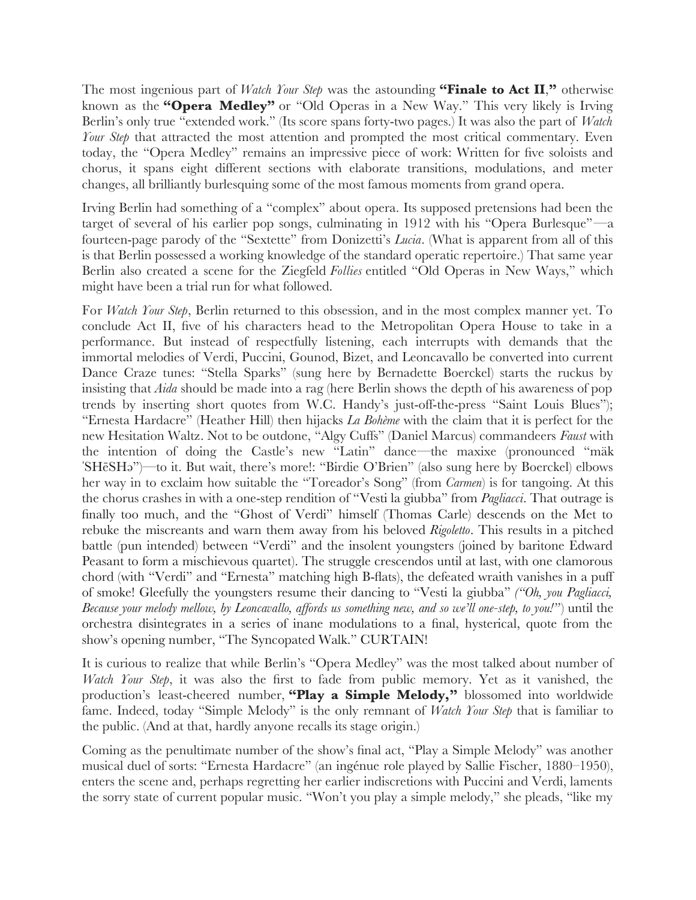The most ingenious part of *Watch Your Step* was the astounding **"Finale to Act II**,**"** otherwise known as the **"Opera Medley"** or "Old Operas in a New Way." This very likely is Irving Berlin's only true "extended work." (Its score spans forty-two pages.) It was also the part of *Watch Your Step* that attracted the most attention and prompted the most critical commentary. Even today, the "Opera Medley" remains an impressive piece of work: Written for five soloists and chorus, it spans eight different sections with elaborate transitions, modulations, and meter changes, all brilliantly burlesquing some of the most famous moments from grand opera.

Irving Berlin had something of a "complex" about opera. Its supposed pretensions had been the target of several of his earlier pop songs, culminating in 1912 with his "Opera Burlesque"—a fourteen-page parody of the "Sextette" from Donizetti's *Lucia*. (What is apparent from all of this is that Berlin possessed a working knowledge of the standard operatic repertoire.) That same year Berlin also created a scene for the Ziegfeld *Follies* entitled "Old Operas in New Ways," which might have been a trial run for what followed.

For *Watch Your Step*, Berlin returned to this obsession, and in the most complex manner yet. To conclude Act II, fve of his characters head to the Metropolitan Opera House to take in a performance. But instead of respectfully listening, each interrupts with demands that the immortal melodies of Verdi, Puccini, Gounod, Bizet, and Leoncavallo be converted into current Dance Craze tunes: "Stella Sparks" (sung here by Bernadette Boerckel) starts the ruckus by insisting that *Aida* should be made into a rag (here Berlin shows the depth of his awareness of pop trends by inserting short quotes from W.C. Handy's just-off-the-press "Saint Louis Blues"); "Ernesta Hardacre" (Heather Hill) then hijacks *La Bohème* with the claim that it is perfect for the new Hesitation Waltz. Not to be outdone, "Algy Cuffs" (Daniel Marcus) commandeers *Faust* with the intention of doing the Castle's new "Latin" dance—the maxixe (pronounced "mäk ˈSHēSHə")—to it. But wait, there's more!: "Birdie O'Brien" (also sung here by Boerckel) elbows her way in to exclaim how suitable the "Toreador's Song" (from *Carmen*) is for tangoing. At this the chorus crashes in with a one-step rendition of "Vesti la giubba" from *Pagliacci*. That outrage is fnally too much, and the "Ghost of Verdi" himself (Thomas Carle) descends on the Met to rebuke the miscreants and warn them away from his beloved *Rigoletto*. This results in a pitched battle (pun intended) between "Verdi" and the insolent youngsters (joined by baritone Edward Peasant to form a mischievous quartet). The struggle crescendos until at last, with one clamorous chord (with "Verdi" and "Ernesta" matching high B-fats), the defeated wraith vanishes in a puff of smoke! Gleefully the youngsters resume their dancing to "Vesti la giubba" *("Oh, you Pagliacci, Because your melody mellow, by Leoncavallo, affords us something new, and so we'll one-step, to you!"*) until the orchestra disintegrates in a series of inane modulations to a fnal, hysterical, quote from the show's opening number, "The Syncopated Walk." CURTAIN!

It is curious to realize that while Berlin's "Opera Medley" was the most talked about number of *Watch Your Step*, it was also the first to fade from public memory. Yet as it vanished, the production's least-cheered number, **"Play a Simple Melody,"** blossomed into worldwide fame. Indeed, today "Simple Melody" is the only remnant of *Watch Your Step* that is familiar to the public. (And at that, hardly anyone recalls its stage origin.)

Coming as the penultimate number of the show's fnal act, "Play a Simple Melody" was another musical duel of sorts: "Ernesta Hardacre" (an ingénue role played by Sallie Fischer, 1880–1950), enters the scene and, perhaps regretting her earlier indiscretions with Puccini and Verdi, laments the sorry state of current popular music. "Won't you play a simple melody," she pleads, "like my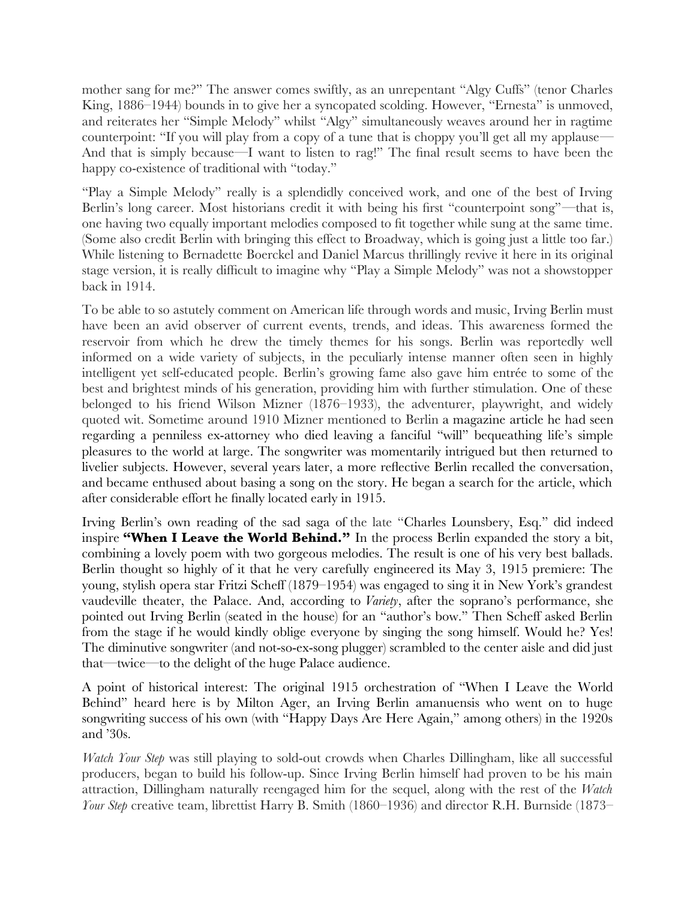mother sang for me?" The answer comes swiftly, as an unrepentant "Algy Cuffs" (tenor Charles King, 1886–1944) bounds in to give her a syncopated scolding. However, "Ernesta" is unmoved, and reiterates her "Simple Melody" whilst "Algy" simultaneously weaves around her in ragtime counterpoint: "If you will play from a copy of a tune that is choppy you'll get all my applause— And that is simply because—I want to listen to rag!" The fnal result seems to have been the happy co-existence of traditional with "today."

"Play a Simple Melody" really is a splendidly conceived work, and one of the best of Irving Berlin's long career. Most historians credit it with being his first "counterpoint song"—that is, one having two equally important melodies composed to ft together while sung at the same time. (Some also credit Berlin with bringing this effect to Broadway, which is going just a little too far.) While listening to Bernadette Boerckel and Daniel Marcus thrillingly revive it here in its original stage version, it is really diffcult to imagine why "Play a Simple Melody" was not a showstopper back in 1914.

To be able to so astutely comment on American life through words and music, Irving Berlin must have been an avid observer of current events, trends, and ideas. This awareness formed the reservoir from which he drew the timely themes for his songs. Berlin was reportedly well informed on a wide variety of subjects, in the peculiarly intense manner often seen in highly intelligent yet self-educated people. Berlin's growing fame also gave him entrée to some of the best and brightest minds of his generation, providing him with further stimulation. One of these belonged to his friend Wilson Mizner (1876–1933), the adventurer, playwright, and widely quoted wit. Sometime around 1910 Mizner mentioned to Berlin a magazine article he had seen regarding a penniless ex-attorney who died leaving a fanciful "will" bequeathing life's simple pleasures to the world at large. The songwriter was momentarily intrigued but then returned to livelier subjects. However, several years later, a more refective Berlin recalled the conversation, and became enthused about basing a song on the story. He began a search for the article, which after considerable effort he fnally located early in 1915.

Irving Berlin's own reading of the sad saga of the late "Charles Lounsbery, Esq." did indeed inspire **"When I Leave the World Behind."** In the process Berlin expanded the story a bit, combining a lovely poem with two gorgeous melodies. The result is one of his very best ballads. Berlin thought so highly of it that he very carefully engineered its May 3, 1915 premiere: The young, stylish opera star Fritzi Scheff (1879–1954) was engaged to sing it in New York's grandest vaudeville theater, the Palace. And, according to *Variety*, after the soprano's performance, she pointed out Irving Berlin (seated in the house) for an "author's bow." Then Scheff asked Berlin from the stage if he would kindly oblige everyone by singing the song himself. Would he? Yes! The diminutive songwriter (and not-so-ex-song plugger) scrambled to the center aisle and did just that—twice—to the delight of the huge Palace audience.

A point of historical interest: The original 1915 orchestration of "When I Leave the World Behind" heard here is by Milton Ager, an Irving Berlin amanuensis who went on to huge songwriting success of his own (with "Happy Days Are Here Again," among others) in the 1920s and '30s.

*Watch Your Step* was still playing to sold-out crowds when Charles Dillingham, like all successful producers, began to build his follow-up. Since Irving Berlin himself had proven to be his main attraction, Dillingham naturally reengaged him for the sequel, along with the rest of the *Watch Your Step* creative team, librettist Harry B. Smith (1860–1936) and director R.H. Burnside (1873–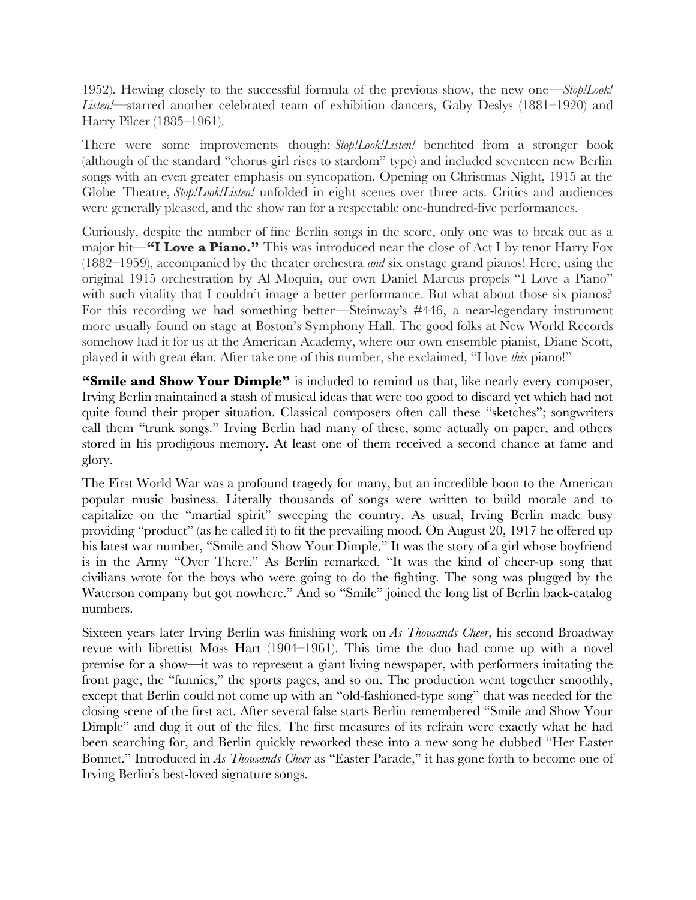1952). Hewing closely to the successful formula of the previous show, the new one—*Stop!Look! Listen!*—starred another celebrated team of exhibition dancers, Gaby Deslys (1881–1920) and Harry Pilcer (1885–1961).

There were some improvements though: *Stop!Look!Listen!* benefted from a stronger book (although of the standard "chorus girl rises to stardom" type) and included seventeen new Berlin songs with an even greater emphasis on syncopation. Opening on Christmas Night, 1915 at the Globe Theatre, *Stop!Look!Listen!* unfolded in eight scenes over three acts. Critics and audiences were generally pleased, and the show ran for a respectable one-hundred-fve performances.

Curiously, despite the number of fne Berlin songs in the score, only one was to break out as a major hit—**"I Love a Piano."** This was introduced near the close of Act I by tenor Harry Fox (1882–1959), accompanied by the theater orchestra *and* six onstage grand pianos! Here, using the original 1915 orchestration by Al Moquin, our own Daniel Marcus propels "I Love a Piano" with such vitality that I couldn't image a better performance. But what about those six pianos? For this recording we had something better—Steinway's #446, a near-legendary instrument more usually found on stage at Boston's Symphony Hall. The good folks at New World Records somehow had it for us at the American Academy, where our own ensemble pianist, Diane Scott, played it with great élan. After take one of this number, she exclaimed, "I love *this* piano!"

**"Smile and Show Your Dimple"** is included to remind us that, like nearly every composer, Irving Berlin maintained a stash of musical ideas that were too good to discard yet which had not quite found their proper situation. Classical composers often call these "sketches"; songwriters call them "trunk songs." Irving Berlin had many of these, some actually on paper, and others stored in his prodigious memory. At least one of them received a second chance at fame and glory.

The First World War was a profound tragedy for many, but an incredible boon to the American popular music business. Literally thousands of songs were written to build morale and to capitalize on the "martial spirit" sweeping the country. As usual, Irving Berlin made busy providing "product" (as he called it) to ft the prevailing mood. On August 20, 1917 he offered up his latest war number, "Smile and Show Your Dimple." It was the story of a girl whose boyfriend is in the Army "Over There." As Berlin remarked, "It was the kind of cheer-up song that civilians wrote for the boys who were going to do the fghting. The song was plugged by the Waterson company but got nowhere." And so "Smile" joined the long list of Berlin back-catalog numbers.

Sixteen years later Irving Berlin was fnishing work on *As Thousands Cheer*, his second Broadway revue with librettist Moss Hart (1904–1961). This time the duo had come up with a novel premise for a show**—**it was to represent a giant living newspaper, with performers imitating the front page, the "funnies," the sports pages, and so on. The production went together smoothly, except that Berlin could not come up with an "old-fashioned-type song" that was needed for the closing scene of the frst act. After several false starts Berlin remembered "Smile and Show Your Dimple" and dug it out of the fles. The frst measures of its refrain were exactly what he had been searching for, and Berlin quickly reworked these into a new song he dubbed "Her Easter Bonnet." Introduced in *As Thousands Cheer* as "Easter Parade," it has gone forth to become one of Irving Berlin's best-loved signature songs.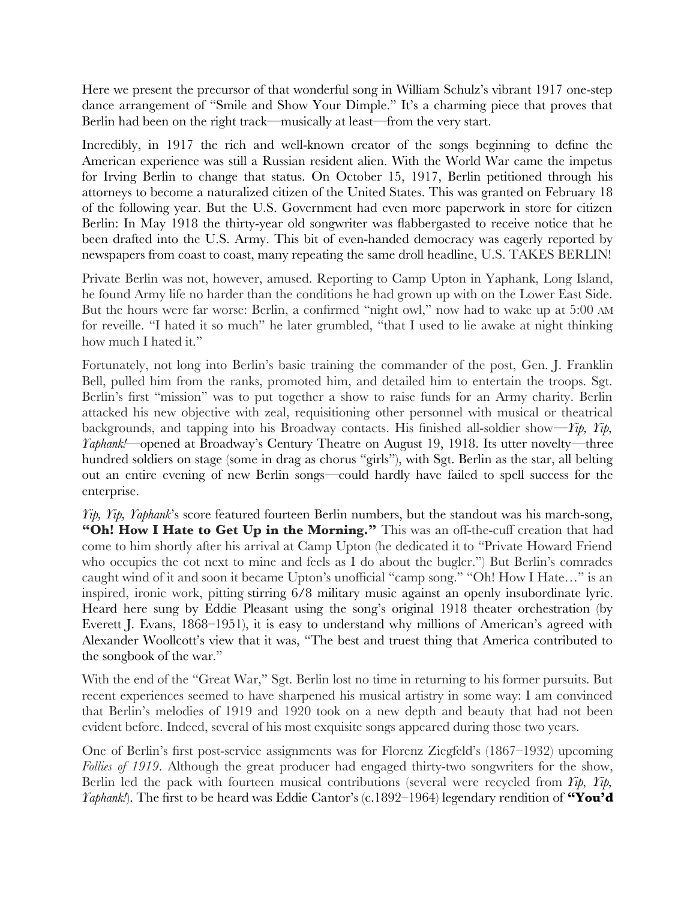Here we present the precursor of that wonderful song in William Schulz's vibrant 1917 one-step dance arrangement of "Smile and Show Your Dimple." It's a charming piece that proves that Berlin had been on the right track—musically at least—from the very start.

Incredibly, in 1917 the rich and well-known creator of the songs beginning to defne the American experience was still a Russian resident alien. With the World War came the impetus for Irving Berlin to change that status. On October 15, 1917, Berlin petitioned through his attorneys to become a naturalized citizen of the United States. This was granted on February 18 of the following year. But the U.S. Government had even more paperwork in store for citizen Berlin: In May 1918 the thirty-year old songwriter was fabbergasted to receive notice that he been drafted into the U.S. Army. This bit of even-handed democracy was eagerly reported by newspapers from coast to coast, many repeating the same droll headline, U.S. TAKES BERLIN!

Private Berlin was not, however, amused. Reporting to Camp Upton in Yaphank, Long Island, he found Army life no harder than the conditions he had grown up with on the Lower East Side. But the hours were far worse: Berlin, a confrmed "night owl," now had to wake up at 5:00 AM for reveille. "I hated it so much" he later grumbled, "that I used to lie awake at night thinking how much I hated it."

Fortunately, not long into Berlin's basic training the commander of the post, Gen. J. Franklin Bell, pulled him from the ranks, promoted him, and detailed him to entertain the troops. Sgt. Berlin's frst "mission" was to put together a show to raise funds for an Army charity. Berlin attacked his new objective with zeal, requisitioning other personnel with musical or theatrical backgrounds, and tapping into his Broadway contacts. His fnished all-soldier show—*Yip, Yip, Yaphank!*—opened at Broadway's Century Theatre on August 19, 1918. Its utter novelty—three hundred soldiers on stage (some in drag as chorus "girls"), with Sgt. Berlin as the star, all belting out an entire evening of new Berlin songs—could hardly have failed to spell success for the enterprise.

*Yip, Yip, Yaphank*'s score featured fourteen Berlin numbers, but the standout was his march-song, "Oh! How I Hate to Get Up in the Morning." This was an off-the-cuff creation that had come to him shortly after his arrival at Camp Upton (he dedicated it to "Private Howard Friend who occupies the cot next to mine and feels as I do about the bugler.") But Berlin's comrades caught wind of it and soon it became Upton's unofficial "camp song." "Oh! How I Hate..." is an inspired, ironic work, pitting stirring 6/8 military music against an openly insubordinate lyric. Heard here sung by Eddie Pleasant using the song's original 1918 theater orchestration (by Everett J. Evans, 1868–1951), it is easy to understand why millions of American's agreed with Alexander Woollcott's view that it was, "The best and truest thing that America contributed to the songbook of the war."

With the end of the "Great War," Sgt. Berlin lost no time in returning to his former pursuits. But recent experiences seemed to have sharpened his musical artistry in some way: I am convinced that Berlin's melodies of 1919 and 1920 took on a new depth and beauty that had not been evident before. Indeed, several of his most exquisite songs appeared during those two years.

One of Berlin's frst post-service assignments was for Florenz Ziegfeld's (1867–1932) upcoming *Follies of 1919*. Although the great producer had engaged thirty-two songwriters for the show, Berlin led the pack with fourteen musical contributions (several were recycled from *Yip, Yip, Yaphank!*). The first to be heard was Eddie Cantor's (c.1892–1964) legendary rendition of "You'd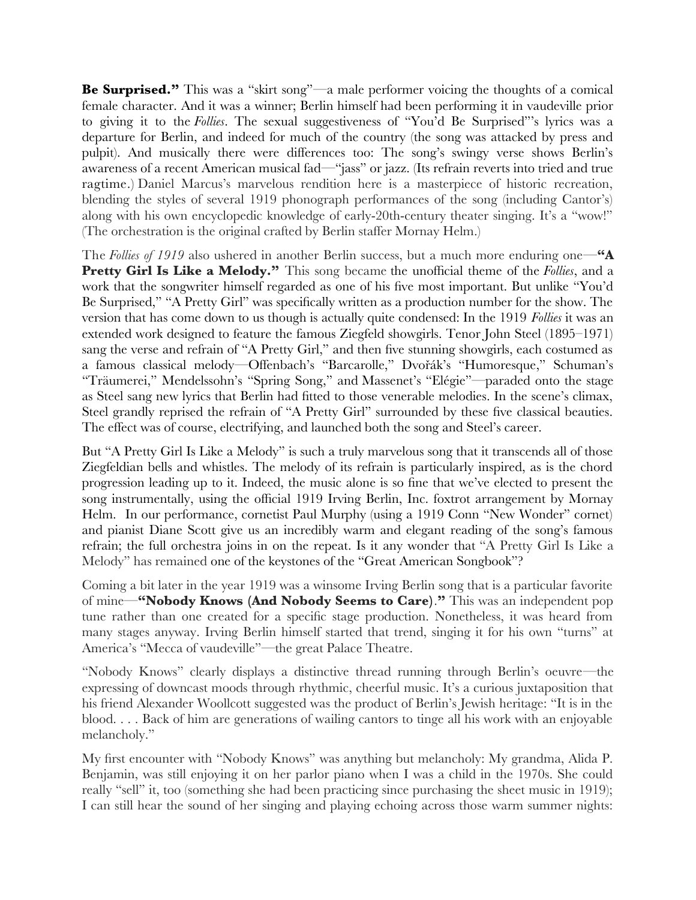**Be Surprised.**" This was a "skirt song"—a male performer voicing the thoughts of a comical female character. And it was a winner; Berlin himself had been performing it in vaudeville prior to giving it to the *Follies*. The sexual suggestiveness of "You'd Be Surprised"'s lyrics was a departure for Berlin, and indeed for much of the country (the song was attacked by press and pulpit). And musically there were differences too: The song's swingy verse shows Berlin's awareness of a recent American musical fad—"jass" or jazz. (Its refrain reverts into tried and true ragtime.) Daniel Marcus's marvelous rendition here is a masterpiece of historic recreation, blending the styles of several 1919 phonograph performances of the song (including Cantor's) along with his own encyclopedic knowledge of early-20th-century theater singing. It's a "wow!" (The orchestration is the original crafted by Berlin staffer Mornay Helm.)

The *Follies of 1919* also ushered in another Berlin success, but a much more enduring one—**"A Pretty Girl Is Like a Melody."** This song became the unofficial theme of the *Follies*, and a work that the songwriter himself regarded as one of his fve most important. But unlike "You'd Be Surprised," "A Pretty Girl" was specifcally written as a production number for the show. The version that has come down to us though is actually quite condensed: In the 1919 *Follies* it was an extended work designed to feature the famous Ziegfeld showgirls. Tenor John Steel (1895–1971) sang the verse and refrain of "A Pretty Girl," and then five stunning showgirls, each costumed as a famous classical melody—Offenbach's "Barcarolle," Dvořák's "Humoresque," Schuman's "Träumerei," Mendelssohn's "Spring Song," and Massenet's "Elégie"—paraded onto the stage as Steel sang new lyrics that Berlin had ftted to those venerable melodies. In the scene's climax, Steel grandly reprised the refrain of "A Pretty Girl" surrounded by these fve classical beauties. The effect was of course, electrifying, and launched both the song and Steel's career.

But "A Pretty Girl Is Like a Melody" is such a truly marvelous song that it transcends all of those Ziegfeldian bells and whistles. The melody of its refrain is particularly inspired, as is the chord progression leading up to it. Indeed, the music alone is so fne that we've elected to present the song instrumentally, using the official 1919 Irving Berlin, Inc. foxtrot arrangement by Mornay Helm. In our performance, cornetist Paul Murphy (using a 1919 Conn "New Wonder" cornet) and pianist Diane Scott give us an incredibly warm and elegant reading of the song's famous refrain; the full orchestra joins in on the repeat. Is it any wonder that "A Pretty Girl Is Like a Melody" has remained one of the keystones of the "Great American Songbook"?

Coming a bit later in the year 1919 was a winsome Irving Berlin song that is a particular favorite of mine—**"Nobody Knows (And Nobody Seems to Care)**.**"** This was an independent pop tune rather than one created for a specifc stage production. Nonetheless, it was heard from many stages anyway. Irving Berlin himself started that trend, singing it for his own "turns" at America's "Mecca of vaudeville"—the great Palace Theatre.

"Nobody Knows" clearly displays a distinctive thread running through Berlin's oeuvre—the expressing of downcast moods through rhythmic, cheerful music. It's a curious juxtaposition that his friend Alexander Woollcott suggested was the product of Berlin's Jewish heritage: "It is in the blood. . . . Back of him are generations of wailing cantors to tinge all his work with an enjoyable melancholy."

My frst encounter with "Nobody Knows" was anything but melancholy: My grandma, Alida P. Benjamin, was still enjoying it on her parlor piano when I was a child in the 1970s. She could really "sell" it, too (something she had been practicing since purchasing the sheet music in 1919); I can still hear the sound of her singing and playing echoing across those warm summer nights: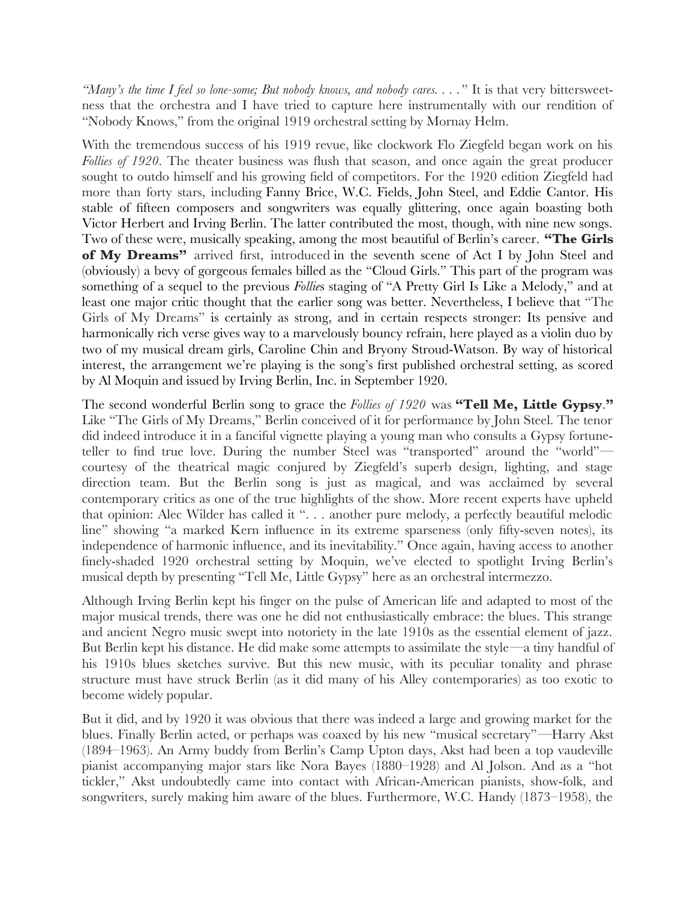*"Many's the time I feel so lone-some; But nobody knows, and nobody cares. . . ."* It is that very bittersweetness that the orchestra and I have tried to capture here instrumentally with our rendition of "Nobody Knows," from the original 1919 orchestral setting by Mornay Helm.

With the tremendous success of his 1919 revue, like clockwork Flo Ziegfeld began work on his *Follies of 1920*. The theater business was fush that season, and once again the great producer sought to outdo himself and his growing feld of competitors. For the 1920 edition Ziegfeld had more than forty stars, including Fanny Brice, W.C. Fields, John Steel, and Eddie Cantor. His stable of ffteen composers and songwriters was equally glittering, once again boasting both Victor Herbert and Irving Berlin. The latter contributed the most, though, with nine new songs. Two of these were, musically speaking, among the most beautiful of Berlin's career. **"The Girls of My Dreams"** arrived frst, introduced in the seventh scene of Act I by John Steel and (obviously) a bevy of gorgeous females billed as the "Cloud Girls." This part of the program was something of a sequel to the previous *Follie*s staging of "A Pretty Girl Is Like a Melody," and at least one major critic thought that the earlier song was better. Nevertheless, I believe that "The Girls of My Dreams" is certainly as strong, and in certain respects stronger: Its pensive and harmonically rich verse gives way to a marvelously bouncy refrain, here played as a violin duo by two of my musical dream girls, Caroline Chin and Bryony Stroud-Watson. By way of historical interest, the arrangement we're playing is the song's frst published orchestral setting, as scored by Al Moquin and issued by Irving Berlin, Inc. in September 1920.

The second wonderful Berlin song to grace the *Follies of 1920* was **"Tell Me, Little Gypsy**.**"** Like "The Girls of My Dreams," Berlin conceived of it for performance by John Steel. The tenor did indeed introduce it in a fanciful vignette playing a young man who consults a Gypsy fortuneteller to fnd true love. During the number Steel was "transported" around the "world" courtesy of the theatrical magic conjured by Ziegfeld's superb design, lighting, and stage direction team. But the Berlin song is just as magical, and was acclaimed by several contemporary critics as one of the true highlights of the show. More recent experts have upheld that opinion: Alec Wilder has called it ". . . another pure melody, a perfectly beautiful melodic line" showing "a marked Kern infuence in its extreme sparseness (only ffty-seven notes), its independence of harmonic infuence, and its inevitability." Once again, having access to another fnely-shaded 1920 orchestral setting by Moquin, we've elected to spotlight Irving Berlin's musical depth by presenting "Tell Me, Little Gypsy" here as an orchestral intermezzo.

Although Irving Berlin kept his fnger on the pulse of American life and adapted to most of the major musical trends, there was one he did not enthusiastically embrace: the blues. This strange and ancient Negro music swept into notoriety in the late 1910s as the essential element of jazz. But Berlin kept his distance. He did make some attempts to assimilate the style—a tiny handful of his 1910s blues sketches survive. But this new music, with its peculiar tonality and phrase structure must have struck Berlin (as it did many of his Alley contemporaries) as too exotic to become widely popular.

But it did, and by 1920 it was obvious that there was indeed a large and growing market for the blues. Finally Berlin acted, or perhaps was coaxed by his new "musical secretary"—Harry Akst (1894–1963). An Army buddy from Berlin's Camp Upton days, Akst had been a top vaudeville pianist accompanying major stars like Nora Bayes (1880–1928) and Al Jolson. And as a "hot tickler," Akst undoubtedly came into contact with African-American pianists, show-folk, and songwriters, surely making him aware of the blues. Furthermore, W.C. Handy (1873–1958), the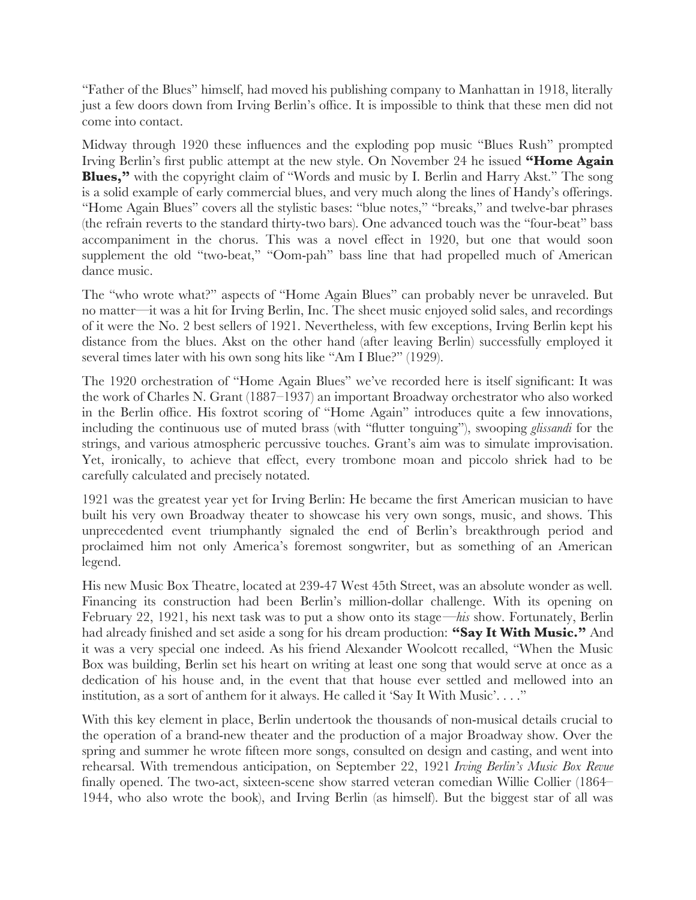"Father of the Blues" himself, had moved his publishing company to Manhattan in 1918, literally just a few doors down from Irving Berlin's office. It is impossible to think that these men did not come into contact.

Midway through 1920 these infuences and the exploding pop music "Blues Rush" prompted Irving Berlin's frst public attempt at the new style. On November 24 he issued **"Home Again Blues,"** with the copyright claim of "Words and music by I. Berlin and Harry Akst." The song is a solid example of early commercial blues, and very much along the lines of Handy's offerings. "Home Again Blues" covers all the stylistic bases: "blue notes," "breaks," and twelve-bar phrases (the refrain reverts to the standard thirty-two bars). One advanced touch was the "four-beat" bass accompaniment in the chorus. This was a novel effect in 1920, but one that would soon supplement the old "two-beat," "Oom-pah" bass line that had propelled much of American dance music.

The "who wrote what?" aspects of "Home Again Blues" can probably never be unraveled. But no matter—it was a hit for Irving Berlin, Inc. The sheet music enjoyed solid sales, and recordings of it were the No. 2 best sellers of 1921. Nevertheless, with few exceptions, Irving Berlin kept his distance from the blues. Akst on the other hand (after leaving Berlin) successfully employed it several times later with his own song hits like "Am I Blue?" (1929).

The 1920 orchestration of "Home Again Blues" we've recorded here is itself signifcant: It was the work of Charles N. Grant (1887–1937) an important Broadway orchestrator who also worked in the Berlin office. His foxtrot scoring of "Home Again" introduces quite a few innovations, including the continuous use of muted brass (with "futter tonguing"), swooping *glissandi* for the strings, and various atmospheric percussive touches. Grant's aim was to simulate improvisation. Yet, ironically, to achieve that effect, every trombone moan and piccolo shriek had to be carefully calculated and precisely notated.

1921 was the greatest year yet for Irving Berlin: He became the frst American musician to have built his very own Broadway theater to showcase his very own songs, music, and shows. This unprecedented event triumphantly signaled the end of Berlin's breakthrough period and proclaimed him not only America's foremost songwriter, but as something of an American legend.

His new Music Box Theatre, located at 239-47 West 45th Street, was an absolute wonder as well. Financing its construction had been Berlin's million-dollar challenge. With its opening on February 22, 1921, his next task was to put a show onto its stage—*his* show. Fortunately, Berlin had already fnished and set aside a song for his dream production: **"Say It With Music."** And it was a very special one indeed. As his friend Alexander Woolcott recalled, "When the Music Box was building, Berlin set his heart on writing at least one song that would serve at once as a dedication of his house and, in the event that that house ever settled and mellowed into an institution, as a sort of anthem for it always. He called it 'Say It With Music'. . . ."

With this key element in place, Berlin undertook the thousands of non-musical details crucial to the operation of a brand-new theater and the production of a major Broadway show. Over the spring and summer he wrote ffteen more songs, consulted on design and casting, and went into rehearsal. With tremendous anticipation, on September 22, 1921 *Irving Berlin's Music Box Revue* fnally opened. The two-act, sixteen-scene show starred veteran comedian Willie Collier (1864– 1944, who also wrote the book), and Irving Berlin (as himself). But the biggest star of all was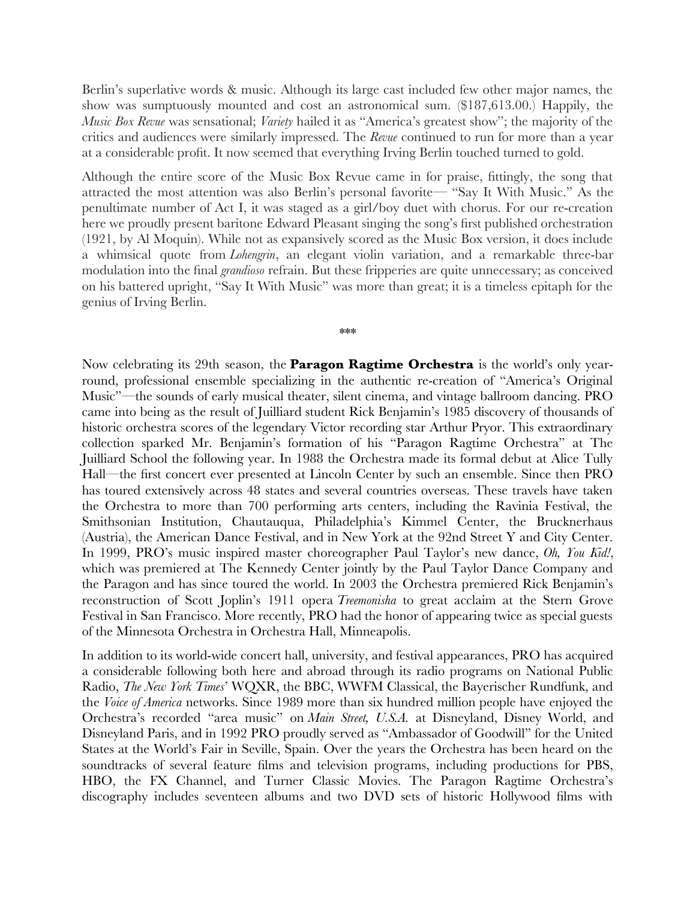Berlin's superlative words & music. Although its large cast included few other major names, the show was sumptuously mounted and cost an astronomical sum. (\$187,613.00.) Happily, the *Music Box Revue* was sensational; *Variety* hailed it as "America's greatest show"; the majority of the critics and audiences were similarly impressed. The *Revue* continued to run for more than a year at a considerable proft. It now seemed that everything Irving Berlin touched turned to gold.

Although the entire score of the Music Box Revue came in for praise, fttingly, the song that attracted the most attention was also Berlin's personal favorite— "Say It With Music." As the penultimate number of Act I, it was staged as a girl/boy duet with chorus. For our re-creation here we proudly present baritone Edward Pleasant singing the song's frst published orchestration (1921, by Al Moquin). While not as expansively scored as the Music Box version, it does include a whimsical quote from *Lohengrin*, an elegant violin variation, and a remarkable three-bar modulation into the fnal *grandioso* refrain. But these fripperies are quite unnecessary; as conceived on his battered upright, "Say It With Music" was more than great; it is a timeless epitaph for the genius of Irving Berlin.

\*\*\*

Now celebrating its 29th season, the **Paragon Ragtime Orchestra** is the world's only yearround, professional ensemble specializing in the authentic re-creation of "America's Original Music"—the sounds of early musical theater, silent cinema, and vintage ballroom dancing. PRO came into being as the result of Juilliard student Rick Benjamin's 1985 discovery of thousands of historic orchestra scores of the legendary Victor recording star Arthur Pryor. This extraordinary collection sparked Mr. Benjamin's formation of his "Paragon Ragtime Orchestra" at The Juilliard School the following year. In 1988 the Orchestra made its formal debut at Alice Tully Hall—the frst concert ever presented at Lincoln Center by such an ensemble. Since then PRO has toured extensively across 48 states and several countries overseas. These travels have taken the Orchestra to more than 700 performing arts centers, including the Ravinia Festival, the Smithsonian Institution, Chautauqua, Philadelphia's Kimmel Center, the Brucknerhaus (Austria), the American Dance Festival, and in New York at the 92nd Street Y and City Center. In 1999, PRO's music inspired master choreographer Paul Taylor's new dance, *Oh, You Kid!*, which was premiered at The Kennedy Center jointly by the Paul Taylor Dance Company and the Paragon and has since toured the world. In 2003 the Orchestra premiered Rick Benjamin's reconstruction of Scott Joplin's 1911 opera *Treemonisha* to great acclaim at the Stern Grove Festival in San Francisco. More recently, PRO had the honor of appearing twice as special guests of the Minnesota Orchestra in Orchestra Hall, Minneapolis.

In addition to its world-wide concert hall, university, and festival appearances, PRO has acquired a considerable following both here and abroad through its radio programs on National Public Radio, *The New York Times*' WQXR, the BBC, WWFM Classical, the Bayerischer Rundfunk, and the *Voice of America* networks. Since 1989 more than six hundred million people have enjoyed the Orchestra's recorded "area music" on *Main Street, U.S.A.* at Disneyland, Disney World, and Disneyland Paris, and in 1992 PRO proudly served as "Ambassador of Goodwill" for the United States at the World's Fair in Seville, Spain. Over the years the Orchestra has been heard on the soundtracks of several feature flms and television programs, including productions for PBS, HBO, the FX Channel, and Turner Classic Movies. The Paragon Ragtime Orchestra's discography includes seventeen albums and two DVD sets of historic Hollywood flms with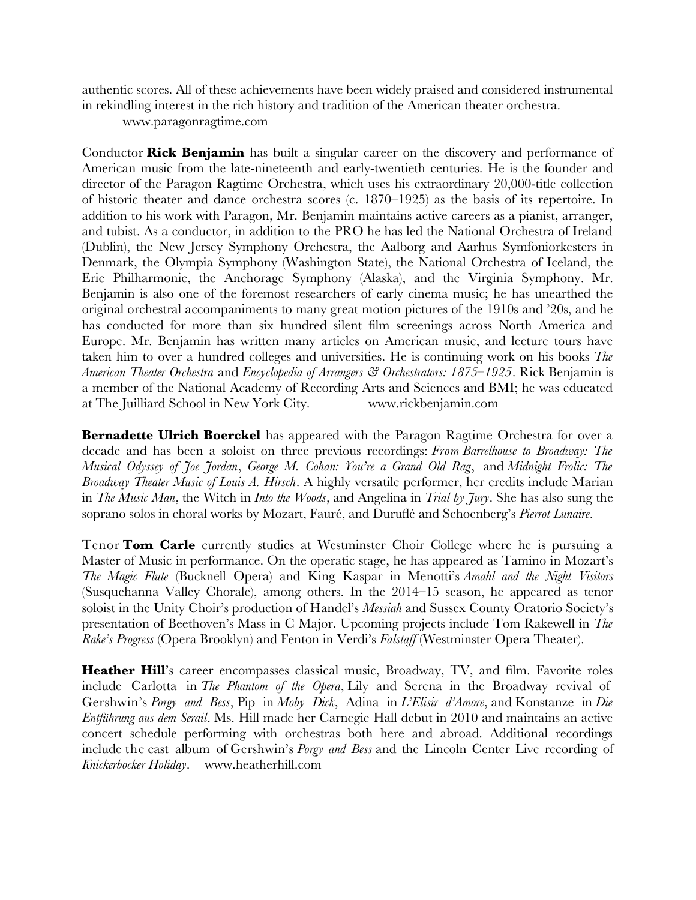authentic scores. All of these achievements have been widely praised and considered instrumental in rekindling interest in the rich history and tradition of the American theater orchestra.

www.paragonragtime.com

Conductor **Rick Benjamin** has built a singular career on the discovery and performance of American music from the late-nineteenth and early-twentieth centuries. He is the founder and director of the Paragon Ragtime Orchestra, which uses his extraordinary 20,000-title collection of historic theater and dance orchestra scores (c. 1870–1925) as the basis of its repertoire. In addition to his work with Paragon, Mr. Benjamin maintains active careers as a pianist, arranger, and tubist. As a conductor, in addition to the PRO he has led the National Orchestra of Ireland (Dublin), the New Jersey Symphony Orchestra, the Aalborg and Aarhus Symfoniorkesters in Denmark, the Olympia Symphony (Washington State), the National Orchestra of Iceland, the Erie Philharmonic, the Anchorage Symphony (Alaska), and the Virginia Symphony. Mr. Benjamin is also one of the foremost researchers of early cinema music; he has unearthed the original orchestral accompaniments to many great motion pictures of the 1910s and '20s, and he has conducted for more than six hundred silent flm screenings across North America and Europe. Mr. Benjamin has written many articles on American music, and lecture tours have taken him to over a hundred colleges and universities. He is continuing work on his books *The American Theater Orchestra* and *Encyclopedia of Arrangers & Orchestrators: 1875–1925*. Rick Benjamin is a member of the National Academy of Recording Arts and Sciences and BMI; he was educated at The Juilliard School in New York City. www.rickbenjamin.com

**Bernadette Ulrich Boerckel** has appeared with the Paragon Ragtime Orchestra for over a decade and has been a soloist on three previous recordings: *From Barrelhouse to Broadway: The Musical Odyssey of Joe Jordan*, *George M. Cohan: You're a Grand Old Rag*, and *Midnight Frolic: The Broadway Theater Music of Louis A. Hirsch*. A highly versatile performer, her credits include Marian in *The Music Man*, the Witch in *Into the Woods*, and Angelina in *Trial by Jury*. She has also sung the soprano solos in choral works by Mozart, Fauré, and Durufé and Schoenberg's *Pierrot Lunaire*.

Tenor **Tom Carle** currently studies at Westminster Choir College where he is pursuing a Master of Music in performance. On the operatic stage, he has appeared as Tamino in Mozart's *The Magic Flute* (Bucknell Opera) and King Kaspar in Menotti's *Amahl and the Night Visitors* (Susquehanna Valley Chorale), among others. In the 2014–15 season, he appeared as tenor soloist in the Unity Choir's production of Handel's *Messiah* and Sussex County Oratorio Society's presentation of Beethoven's Mass in C Major. Upcoming projects include Tom Rakewell in *The Rake's Progress* (Opera Brooklyn) and Fenton in Verdi's *Falstaff* (Westminster Opera Theater).

**Heather Hill**'s career encompasses classical music, Broadway, TV, and flm. Favorite roles include Carlotta in *The Phantom of the Opera*, Lily and Serena in the Broadway revival of Gershwin's *Porgy and Bess*, Pip in *Moby Dick*, Adina in *L'Elisir d'Amore*, and Konstanze in *Die Entführung aus dem Serail*. Ms. Hill made her Carnegie Hall debut in 2010 and maintains an active concert schedule performing with orchestras both here and abroad. Additional recordings include the cast album of Gershwin's *Porgy and Bess* and the Lincoln Center Live recording of *Knickerbocker Holiday*. [www.heatherhill.com](http://www.heatherhill.com/)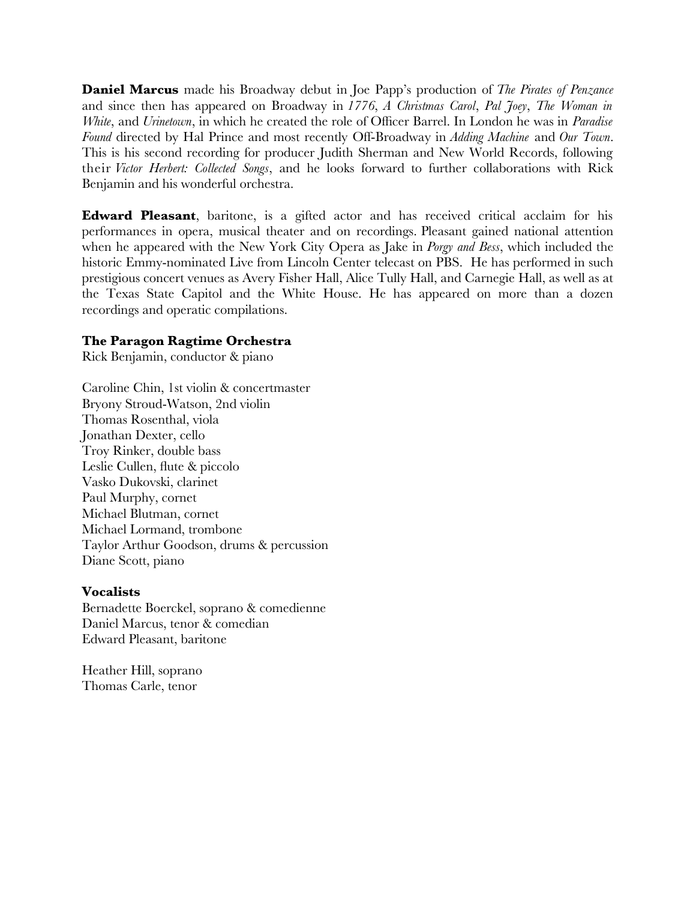**Daniel Marcus** made his Broadway debut in Joe Papp's production of *The Pirates of Penzance* and since then has appeared on Broadway in *1776*, *A Christmas Carol*, *Pal Joey*, *The Woman in White*, and *Urinetown*, in which he created the role of Officer Barrel. In London he was in *Paradise Found* directed by Hal Prince and most recently Off-Broadway in *Adding Machine* and *Our Town*. This is his second recording for producer Judith Sherman and New World Records, following their *Victor Herbert: Collected Songs*, and he looks forward to further collaborations with Rick Benjamin and his wonderful orchestra.

**Edward Pleasant**, baritone, is a gifted actor and has received critical acclaim for his performances in opera, musical theater and on recordings. Pleasant gained national attention when he appeared with the New York City Opera as Jake in *Porgy and Bess*, which included the historic Emmy-nominated Live from Lincoln Center telecast on PBS. He has performed in such prestigious concert venues as Avery Fisher Hall, Alice Tully Hall, and Carnegie Hall, as well as at the Texas State Capitol and the White House. He has appeared on more than a dozen recordings and operatic compilations.

# **The Paragon Ragtime Orchestra**

Rick Benjamin, conductor & piano

Caroline Chin, 1st violin & concertmaster Bryony Stroud-Watson, 2nd violin Thomas Rosenthal, viola Jonathan Dexter, cello Troy Rinker, double bass Leslie Cullen, fute & piccolo Vasko Dukovski, clarinet Paul Murphy, cornet Michael Blutman, cornet Michael Lormand, trombone Taylor Arthur Goodson, drums & percussion Diane Scott, piano

# **Vocalists**

Bernadette Boerckel, soprano & comedienne Daniel Marcus, tenor & comedian Edward Pleasant, baritone

Heather Hill, soprano Thomas Carle, tenor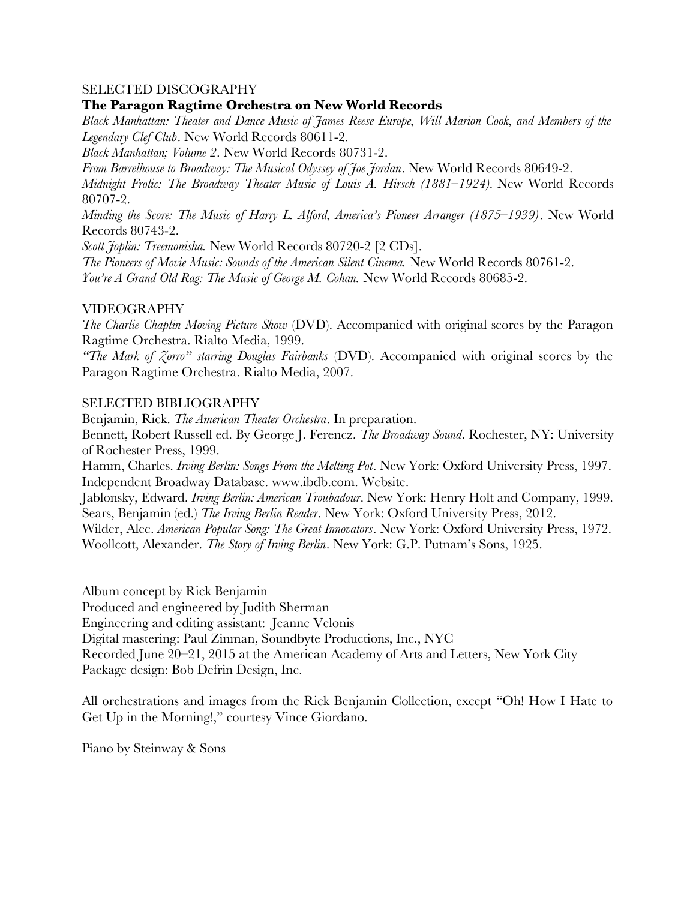# SELECTED DISCOGRAPHY

## **The Paragon Ragtime Orchestra on New World Records**

*Black Manhattan: Theater and Dance Music of James Reese Europe, Will Marion Cook, and Members of the Legendary Clef Club*. New World Records 80611-2.

*Black Manhattan; Volume 2*. New World Records 80731-2.

*From Barrelhouse to Broadway: The Musical Odyssey of Joe Jordan*. New World Records 80649-2.

*Midnight Frolic: The Broadway Theater Music of Louis A. Hirsch (1881–1924).* New World Records 80707-2.

*Minding the Score: The Music of Harry L. Alford, America's Pioneer Arranger (1875–1939)*. New World Records 80743-2.

*Scott Joplin: Treemonisha.* New World Records 80720-2 [2 CDs].

*The Pioneers of Movie Music: Sounds of the American Silent Cinema.* New World Records 80761-2. *You're A Grand Old Rag: The Music of George M. Cohan.* New World Records 80685-2.

#### VIDEOGRAPHY

*The Charlie Chaplin Moving Picture Show* (DVD). Accompanied with original scores by the Paragon Ragtime Orchestra. Rialto Media, 1999.

*"The Mark of Zorro" starring Douglas Fairbanks* (DVD). Accompanied with original scores by the Paragon Ragtime Orchestra. Rialto Media, 2007.

#### SELECTED BIBLIOGRAPHY

Benjamin, Rick. *The American Theater Orchestra*. In preparation.

Bennett, Robert Russell ed. By George J. Ferencz. *The Broadway Sound*. Rochester, NY: University of Rochester Press, 1999.

Hamm, Charles. *Irving Berlin: Songs From the Melting Pot*. New York: Oxford University Press, 1997. Independent Broadway Database. www.ibdb.com. Website.

Jablonsky, Edward. *Irving Berlin: American Troubadour*. New York: Henry Holt and Company, 1999. Sears, Benjamin (ed.) *The Irving Berlin Reader*. New York: Oxford University Press, 2012.

Wilder, Alec. *American Popular Song: The Great Innovators*. New York: Oxford University Press, 1972. Woollcott, Alexander. *The Story of Irving Berlin*. New York: G.P. Putnam's Sons, 1925.

Album concept by Rick Benjamin

Produced and engineered by Judith Sherman

Engineering and editing assistant: Jeanne Velonis

Digital mastering: Paul Zinman, Soundbyte Productions, Inc., NYC

Recorded June 20–21, 2015 at the American Academy of Arts and Letters, New York City Package design: Bob Defrin Design, Inc.

All orchestrations and images from the Rick Benjamin Collection, except "Oh! How I Hate to Get Up in the Morning!," courtesy Vince Giordano.

Piano by Steinway & Sons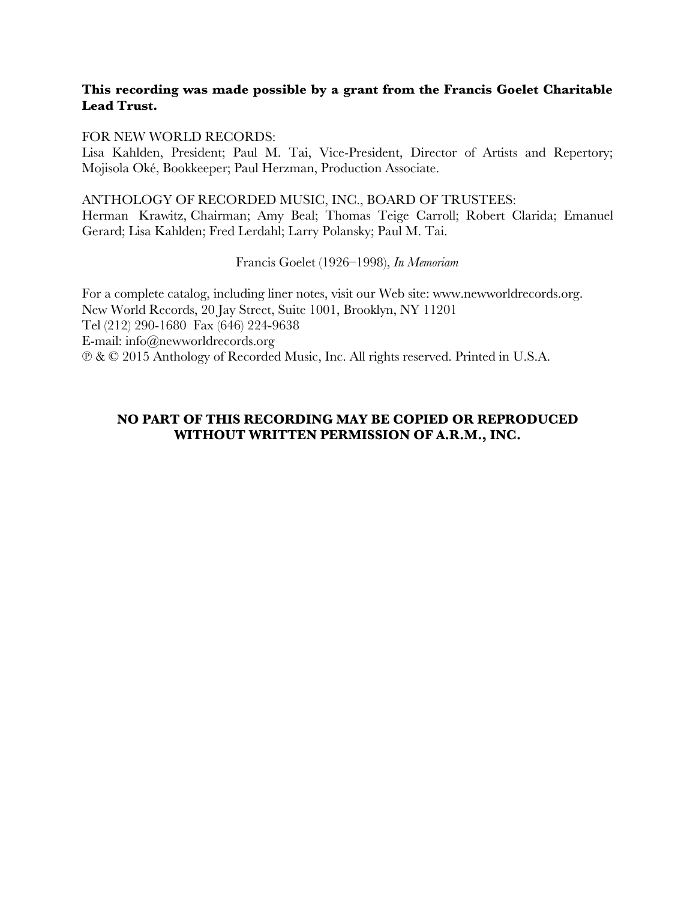# **This recording was made possible by a grant from the Francis Goelet Charitable Lead Trust.**

## FOR NEW WORLD RECORDS:

Lisa Kahlden, President; Paul M. Tai, Vice-President, Director of Artists and Repertory; Mojisola Oké, Bookkeeper; Paul Herzman, Production Associate.

## ANTHOLOGY OF RECORDED MUSIC, INC., BOARD OF TRUSTEES:

Herman Krawitz, Chairman; Amy Beal; Thomas Teige Carroll; Robert Clarida; Emanuel Gerard; Lisa Kahlden; Fred Lerdahl; Larry Polansky; Paul M. Tai.

Francis Goelet (1926–1998), *In Memoriam*

For a complete catalog, including liner notes, visit our Web site: www.newworldrecords.org. New World Records, 20 Jay Street, Suite 1001, Brooklyn, NY 11201 Tel (212) 290-1680 Fax (646) 224-9638 E-mail: info@newworldrecords.org ℗ & © 2015 Anthology of Recorded Music, Inc. All rights reserved. Printed in U.S.A.

# **NO PART OF THIS RECORDING MAY BE COPIED OR REPRODUCED WITHOUT WRITTEN PERMISSION OF A.R.M., INC.**